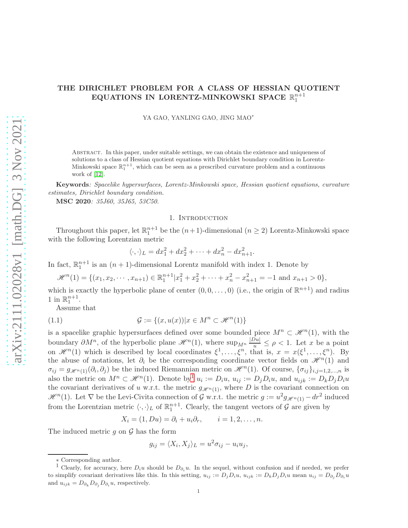# THE DIRICHLET PROBLEM FOR A CLASS OF HESSIAN QUOTIENT EQUATIONS IN LORENTZ-MINKOWSKI SPACE  $\mathbb{R}^{n+1}_1$

YA GAO, YANLING GAO, JING MAO<sup>∗</sup>

Abstract. In this paper, under suitable settings, we can obtain the existence and uniqueness of solutions to a class of Hessian quotient equations with Dirichlet boundary condition in Lorentz-Minkowski space  $\mathbb{R}^{n+1}_1$ , which can be seen as a prescribed curvature problem and a continuous work of [\[12\]](#page-25-0).

Keywords: Spacelike hypersurfaces, Lorentz-Minkowski space, Hessian quotient equations, curvature estimates, Dirichlet boundary condition.

MSC 2020: 35J60, 35J65, 53C50.

#### 1. INTRODUCTION

Throughout this paper, let  $\mathbb{R}^{n+1}_1$  be the  $(n+1)$ -dimensional  $(n \geq 2)$  Lorentz-Minkowski space with the following Lorentzian metric

<span id="page-0-1"></span>
$$
\langle \cdot, \cdot \rangle_L = dx_1^2 + dx_2^2 + \dots + dx_n^2 - dx_{n+1}^2.
$$

In fact,  $\mathbb{R}^{n+1}$  is an  $(n+1)$ -dimensional Lorentz manifold with index 1. Denote by

$$
\mathscr{H}^{n}(1) = \{ (x_1, x_2, \cdots, x_{n+1}) \in \mathbb{R}_{1}^{n+1} | x_1^2 + x_2^2 + \cdots + x_n^2 - x_{n+1}^2 = -1 \text{ and } x_{n+1} > 0 \},
$$

which is exactly the hyperbolic plane of center  $(0,0,\ldots,0)$  (i.e., the origin of  $\mathbb{R}^{n+1}$ ) and radius 1 in  $\mathbb{R}_1^{n+1}$ .

Assume that

(1.1) 
$$
\mathcal{G} := \{(x, u(x)) | x \in M^n \subset \mathcal{H}^n(1) \}
$$

is a spacelike graphic hypersurfaces defined over some bounded piece  $M^n \subset \mathcal{H}^n(1)$ , with the boundary  $\partial M^n$ , of the hyperbolic plane  $\mathcal{H}^n(1)$ , where  $\sup_{M^n} \frac{|Du|}{u} \leq \rho < 1$ . Let x be a point on  $\mathscr{H}^n(1)$  which is described by local coordinates  $\xi^1,\ldots,\xi^n$ , that is,  $x = x(\xi^1,\ldots,\xi^n)$ . By the abuse of notations, let  $\partial_i$  be the corresponding coordinate vector fields on  $\mathcal{H}^n(1)$  and  $\sigma_{ij} = g_{\mathscr{H}^n(1)}(\partial_i, \partial_j)$  be the induced Riemannian metric on  $\mathscr{H}^n(1)$ . Of course,  $\{\sigma_{ij}\}_{i,j=1,2,...,n}$  is also the metric on  $M^n \subset \mathcal{H}^n(1)$  $M^n \subset \mathcal{H}^n(1)$  $M^n \subset \mathcal{H}^n(1)$ . Denote by  $u_i := D_i u$ ,  $u_{ij} := D_j D_i u$ , and  $u_{ijk} := D_k D_j D_i u$ the covariant derivatives of u w.r.t. the metric  $g_{\mathscr{H}^{n}(1)}$ , where D is the covariant connection on  $\mathscr{H}^n(1)$ . Let  $\nabla$  be the Levi-Civita connection of  $\mathcal{G}$  w.r.t. the metric  $g := u^2 g_{\mathscr{H}^n(1)} - dr^2$  induced from the Lorentzian metric  $\langle \cdot, \cdot \rangle_L$  of  $\mathbb{R}^{n+1}_1$ . Clearly, the tangent vectors of  $\mathcal G$  are given by

$$
X_i = (1, Du) = \partial_i + u_i \partial_r, \qquad i = 1, 2, \dots, n.
$$

The induced metric  $g$  on  $\mathcal G$  has the form

$$
g_{ij} = \langle X_i, X_j \rangle_L = u^2 \sigma_{ij} - u_i u_j,
$$

<sup>∗</sup> Corresponding author.

<span id="page-0-0"></span><sup>&</sup>lt;sup>1</sup> Clearly, for accuracy, here  $D_iu$  should be  $D_{\partial_i}u$ . In the sequel, without confusion and if needed, we prefer to simplify covariant derivatives like this. In this setting,  $u_{ij} := D_j D_i u$ ,  $u_{ijk} := D_k D_j D_i u$  mean  $u_{ij} = D_{\partial_j} D_{\partial_i} u$ and  $u_{ijk} = D_{\partial_k} D_{\partial_j} D_{\partial_i} u$ , respectively.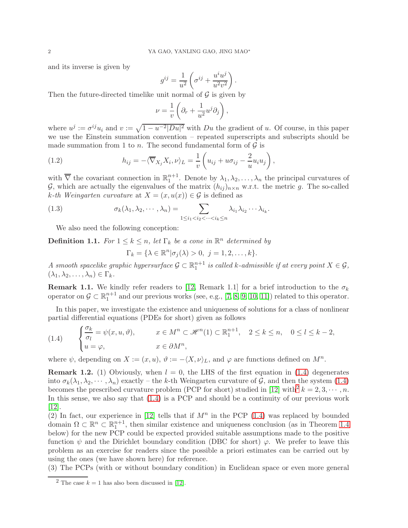and its inverse is given by

$$
g^{ij} = \frac{1}{u^2} \left( \sigma^{ij} + \frac{u^i u^j}{u^2 v^2} \right).
$$

Then the future-directed timelike unit normal of  $\mathcal G$  is given by

$$
\nu = \frac{1}{v} \left( \partial_r + \frac{1}{u^2} u^j \partial_j \right),\,
$$

where  $u^j := \sigma^{ij} u_i$  and  $v := \sqrt{1 - u^{-2} |Du|^2}$  with  $Du$  the gradient of u. Of course, in this paper we use the Einstein summation convention – repeated superscripts and subscripts should be made summation from 1 to *n*. The second fundamental form of  $\mathcal{G}$  is

(1.2) 
$$
h_{ij} = -\langle \overline{\nabla}_{X_j} X_i, \nu \rangle_L = \frac{1}{v} \left( u_{ij} + u \sigma_{ij} - \frac{2}{u} u_i u_j \right),
$$

with  $\overline{\nabla}$  the covariant connection in  $\mathbb{R}^{n+1}_1$ . Denote by  $\lambda_1, \lambda_2, \ldots, \lambda_n$  the principal curvatures of G, which are actually the eigenvalues of the matrix  $(h_{ij})_{n\times n}$  w.r.t. the metric g. The so-called k-th Weingarten curvature at  $X = (x, u(x)) \in \mathcal{G}$  is defined as

(1.3) 
$$
\sigma_k(\lambda_1, \lambda_2, \cdots, \lambda_n) = \sum_{1 \leq i_1 < i_2 < \cdots < i_k \leq n} \lambda_{i_1} \lambda_{i_2} \cdots \lambda_{i_k}.
$$

We also need the following conception:

**Definition 1.1.** For  $1 \leq k \leq n$ , let  $\Gamma_k$  be a cone in  $\mathbb{R}^n$  determined by

$$
\Gamma_k = \{ \lambda \in \mathbb{R}^n | \sigma_j(\lambda) > 0, \ j = 1, 2, \dots, k \}.
$$

A smooth spacelike graphic hypersurface  $\mathcal{G} \subset \mathbb{R}^{n+1}_1$  is called k-admissible if at every point  $X \in \mathcal{G}$ ,  $(\lambda_1, \lambda_2, \ldots, \lambda_n) \in \Gamma_k$ .

**Remark 1.1.** We kindly refer readers to [\[12,](#page-25-0) Remark 1.1] for a brief introduction to the  $\sigma_k$ operator on  $\mathcal{G} \subset \mathbb{R}^{n+1}_1$  and our previous works (see, e.g., [\[7,](#page-25-1) [8,](#page-25-2) [9,](#page-25-3) [10,](#page-25-4) [11\]](#page-25-5)) related to this operator.

In this paper, we investigate the existence and uniqueness of solutions for a class of nonlinear partial differential equations (PDEs for short) given as follows

<span id="page-1-0"></span>(1.4) 
$$
\begin{cases} \frac{\sigma_k}{\sigma_l} = \psi(x, u, \vartheta), & x \in M^n \subset \mathcal{H}^n(1) \subset \mathbb{R}^{n+1}_1, & 2 \leq k \leq n, \quad 0 \leq l \leq k-2, \\ u = \varphi, & x \in \partial M^n, \end{cases}
$$

where  $\psi$ , depending on  $X := (x, u)$ ,  $\vartheta := -\langle X, \nu \rangle_L$ , and  $\varphi$  are functions defined on  $M^n$ .

**Remark 1.2.** (1) Obviously, when  $l = 0$ , the LHS of the first equation in [\(1.4\)](#page-1-0) degenerates into  $\sigma_k(\lambda_1, \lambda_2, \dots, \lambda_n)$  exactly – the k-th Weingarten curvature of G, and then the system [\(1.4\)](#page-1-0) becomes the prescribed curvature problem (PCP for short) studied in [\[12\]](#page-25-0) with<sup>[2](#page-1-1)</sup>  $k = 2, 3, \cdots, n$ . In this sense, we also say that  $(1.4)$  is a PCP and should be a continuity of our previous work [\[12\]](#page-25-0).

(2) In fact, our experience in [\[12\]](#page-25-0) tells that if  $M<sup>n</sup>$  in the PCP [\(1.4\)](#page-1-0) was replaced by bounded domain  $\Omega \subset \mathbb{R}^n \subset \mathbb{R}^{n+1}$ , then similar existence and uniqueness conclusion (as in Theorem [1.4](#page-3-0) below) for the new PCP could be expected provided suitable assumptions made to the positive function  $\psi$  and the Dirichlet boundary condition (DBC for short)  $\varphi$ . We prefer to leave this problem as an exercise for readers since the possible a priori estimates can be carried out by using the ones (we have shown here) for reference.

(3) The PCPs (with or without boundary condition) in Euclidean space or even more general

<span id="page-1-1"></span><sup>&</sup>lt;sup>2</sup> The case  $k = 1$  has also been discussed in [\[12\]](#page-25-0).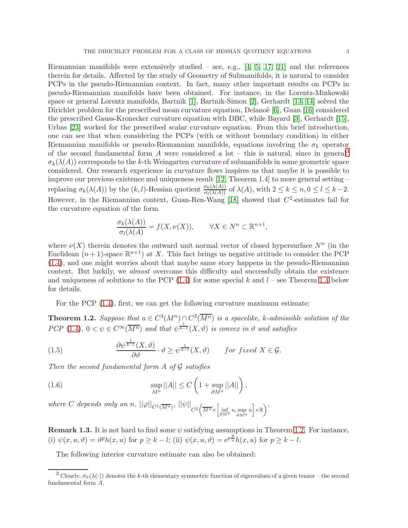Riemannian manifolds were extensively studied – see, e.g.,  $[4, 5, 17, 21]$  $[4, 5, 17, 21]$  $[4, 5, 17, 21]$  $[4, 5, 17, 21]$  and the references therein for details. Affected by the study of Geometry of Submanifolds, it is natural to consider PCPs in the pseudo-Riemannian context. In fact, many other important results on PCPs in pseudo-Riemannian manifolds have been obtained. For instance, in the Lorentz-Minkowski space or general Lorentz manifolds, Bartnik [\[1\]](#page-25-10), Bartnik-Simon [\[2\]](#page-25-11), Gerhardt [\[13,](#page-25-12) [14\]](#page-25-13) solved the Dirichlet problem for the prescribed mean curvature equation, Delano'e  $[6]$ , Guan  $[16]$  considered the prescribed Gauss-Kronecker curvature equation with DBC, while Bayard [\[3\]](#page-25-16), Gerhardt [\[15\]](#page-25-17), Urbas [\[23\]](#page-26-0) worked for the prescribed scalar curvature equation. From this brief introduction, one can see that when considering the PCPs (with or without boundary condition) in either Riemannian manifolds or pseudo-Riemannian manifolds, equations involving the  $\sigma_k$  operator of the second fundamental form A were considered a lot – this is natural, since in general<sup>[3](#page-2-0)</sup>  $\sigma_k(\lambda(A))$  corresponds to the k-th Weingarten curvature of submanifolds in some geometric space considered. Our research experience in curvature flows inspires us that maybe it is possible to improve our previous existence and uniqueness result [\[12,](#page-25-0) Theorem 1.4] to more general setting – replacing  $\sigma_k(\lambda(A))$  by the  $(k, l)$ -Hessian quotient  $\frac{\sigma_k(\lambda(A))}{\sigma_l(\lambda(A))}$  of  $\lambda(A)$ , with  $2 \leq k \leq n, 0 \leq l \leq k-2$ . However, in the Riemannian context, Guan-Ren-Wang [\[18\]](#page-25-18) showed that  $C^2$ -estimates fail for the curvature equation of the form

$$
\frac{\sigma_k(\lambda(A))}{\sigma_l(\lambda(A))} = f(X, \nu(X)), \qquad \forall X \in N^n \subset \mathbb{R}^{n+1},
$$

where  $\nu(X)$  therein denotes the outward unit normal vector of closed hypersurface  $N^n$  (in the Euclidean  $(n+1)$ -space  $\mathbb{R}^{n+1}$  at X. This fact brings us negative attitude to consider the PCP [\(1.4\)](#page-1-0), and one might worries about that maybe same story happens in the pesudo-Riemannian context. But luckily, we almost overcome this difficulty and successfully obtain the existence and uniqueness of solutions to the PCP  $(1.4)$  for some special k and  $l$  – see Theorem [1.4](#page-3-0) below for details.

For the PCP [\(1.4\)](#page-1-0), first, we can get the following curvature maximum estimate:

<span id="page-2-1"></span>**Theorem 1.2.** Suppose that  $u \in C^4(M^n) \cap C^2(\overline{M^n})$  is a spacelike, k-admissible solution of the PCP [\(1.4\)](#page-1-0),  $0 < \psi \in C^{\infty}(\overline{M^n})$  and that  $\psi^{\frac{1}{k-l}}(X,\vartheta)$  is convex in  $\vartheta$  and satisfies

<span id="page-2-3"></span>(1.5) 
$$
\frac{\partial \psi^{\frac{1}{k-l}}(X,\vartheta)}{\partial \vartheta} \cdot \vartheta \geq \psi^{\frac{1}{k-l}}(X,\vartheta) \quad \text{for fixed } X \in \mathcal{G}.
$$

Then the second fundamental form  $A$  of  $G$  satisfies

<span id="page-2-2"></span>(1.6) 
$$
\sup_{M^n} ||A|| \leq C \left( 1 + \sup_{\partial M^n} ||A|| \right),
$$

where C depends only on n,  $||\varphi||_{C^1(\overline{M^n})}$ ,  $||\psi||_{C^2(\overline{M^n} \times \left[\inf_{\partial M^n} u, \sup_{\partial M^n} u\right] \times \mathbb{R})}$ .

**Remark 1.3.** It is not hard to find some  $\psi$  satisfying assumptions in Theorem [1.2.](#page-2-1) For instance, (i)  $\psi(x, u, \vartheta) = \vartheta^p h(x, u)$  for  $p \ge k - l$ ; (ii)  $\psi(x, u, \vartheta) = e^{p \frac{\vartheta}{u}} h(x, u)$  for  $p \ge k - l$ .

The following interior curvature estimate can also be obtained:

<span id="page-2-0"></span><sup>&</sup>lt;sup>3</sup> Clearly,  $\sigma_k(\lambda(\cdot))$  denotes the k-th elementary symmetric function of eigenvalues of a given tensor – the second fundamental form A.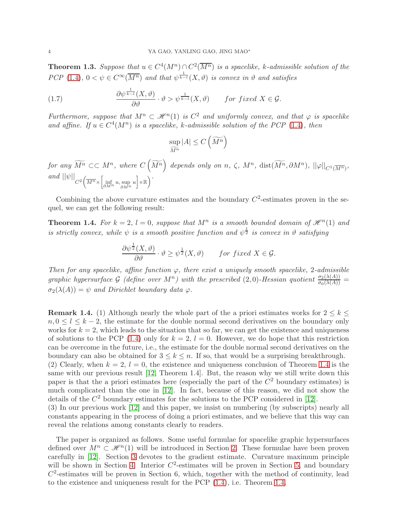<span id="page-3-1"></span>**Theorem 1.3.** Suppose that  $u \in C^4(M^n) \cap C^2(\overline{M^n})$  is a spacelike, k-admissible solution of the PCP [\(1.4\)](#page-1-0),  $0 < \psi \in C^{\infty}(\overline{M^n})$  and that  $\psi^{\frac{1}{k-1}}(X,\vartheta)$  is convex in  $\vartheta$  and satisfies

(1.7) 
$$
\frac{\partial \psi^{\frac{1}{k-l}}(X,\vartheta)}{\partial \vartheta} \cdot \vartheta > \psi^{\frac{1}{k-l}}(X,\vartheta) \quad \text{for fixed } X \in \mathcal{G}.
$$

Furthermore, suppose that  $M^n \subset \mathcal{H}^n(1)$  is  $C^2$  and uniformly convex, and that  $\varphi$  is spacelike and affine. If  $u \in C^4(M^n)$  is a spacelike, k-admissible solution of the PCP [\(1.4\)](#page-1-0), then

<span id="page-3-2"></span>
$$
\sup_{\widetilde{M^n}} |A| \leq C\left(\widetilde{M^n}\right)
$$

 $for\,\, any\,\, \widetilde{M^n}\, \subset\subset M^n,\,\, where\,\, C\left(\widetilde{M^n}\right)\,\, depends\,\, only\,\, on\,\, n,\,\, \zeta,\,\, M^n,\,\, \text{dist}(\widetilde{M^n},\partial M^n),\, \left|\left|\varphi\right|\right|_{C^1(\overline{M^n})},$  $and \ ||\psi||_{C^2 \left(\overline{M^n} \times \left[\inf_{\partial M^n} u, \sup_{\partial M^n} u\right] \times \mathbb{R}\right)}\right)$ 

Combining the above curvature estimates and the boundary  $C<sup>2</sup>$ -estimates proven in the sequel, we can get the following result:

<span id="page-3-0"></span>**Theorem 1.4.** For  $k = 2$ ,  $l = 0$ , suppose that  $M<sup>n</sup>$  is a smooth bounded domain of  $\mathcal{H}<sup>n</sup>(1)$  and is strictly convex, while  $\psi$  is a smooth positive function and  $\psi^{\frac{1}{2}}$  is convex in  $\vartheta$  satisfying

$$
\frac{\partial \psi^{\frac{1}{2}}(X,\vartheta)}{\partial \vartheta} \cdot \vartheta \ge \psi^{\frac{1}{2}}(X,\vartheta) \quad \text{for fixed } X \in \mathcal{G}.
$$

Then for any spacelike, affine function  $\varphi$ , there exist a uniquely smooth spacelike, 2-admissible graphic hypersurface G (define over  $M^n$ ) with the prescribed (2,0)-Hessian quotient  $\frac{\sigma_2(\lambda(A))}{\sigma_0(\lambda(A))}$  =  $\sigma_2(\lambda(A)) = \psi$  and Dirichlet boundary data  $\varphi$ .

**Remark 1.4.** (1) Although nearly the whole part of the a priori estimates works for  $2 \leq k \leq$  $n, 0 \leq l \leq k-2$ , the estimate for the double normal second derivatives on the boundary only works for  $k = 2$ , which leads to the situation that so far, we can get the existence and uniqueness of solutions to the PCP [\(1.4\)](#page-1-0) only for  $k = 2$ ,  $l = 0$ . However, we do hope that this restriction can be overcome in the future, i.e., the estimate for the double normal second derivatives on the boundary can also be obtained for  $3 \leq k \leq n$ . If so, that would be a surprising breakthrough. (2) Clearly, when  $k = 2$ ,  $l = 0$ , the existence and uniqueness conclusion of Theorem [1.4](#page-3-0) is the same with our previous result [\[12,](#page-25-0) Theorem 1.4]. But, the reason why we still write down this paper is that the a priori estimates here (especially the part of the  $C<sup>2</sup>$  boundary estimates) is much complicated than the one in [\[12\]](#page-25-0). In fact, because of this reason, we did not show the

details of the  $C<sup>2</sup>$  boundary estimates for the solutions to the PCP considered in [\[12\]](#page-25-0). (3) In our previous work [\[12\]](#page-25-0) and this paper, we insist on numbering (by subscripts) nearly all constants appearing in the process of doing a priori estimates, and we believe that this way can reveal the relations among constants clearly to readers.

The paper is organized as follows. Some useful formulae for spacelike graphic hypersurfaces defined over  $M^n \subset \mathcal{H}^n(1)$  will be introduced in Section [2.](#page-4-0) These formulae have been proven carefully in [\[12\]](#page-25-0). Section [3](#page-5-0) devotes to the gradient estimate. Curvature maximum principle will be shown in Section [4.](#page-8-0) Interior  $C^2$ -estimates will be proven in Section [5,](#page-9-0) and boundary  $C<sup>2</sup>$ -estimates will be proven in Section 6, which, together with the method of continuity, lead to the existence and uniqueness result for the PCP  $(1.4)$ , i.e. Theorem [1.4.](#page-3-0)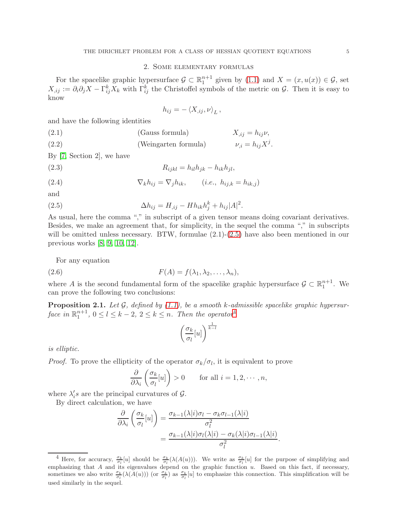# 2. Some elementary formulas

<span id="page-4-0"></span>For the spacelike graphic hypersurface  $\mathcal{G} \subset \mathbb{R}^{n+1}$  given by  $(1.1)$  and  $X = (x, u(x)) \in \mathcal{G}$ , set  $X_{i,j} := \partial_i \partial_j X - \Gamma_{ij}^k X_k$  with  $\Gamma_{ij}^k$  the Christoffel symbols of the metric on  $\mathcal{G}$ . Then it is easy to know

$$
h_{ij} = -\left\langle X_{,ij}, \nu \right\rangle_L,
$$

and have the following identities

(2.1) (Gauss formula) 
$$
X_{,ij} = h_{ij}\nu
$$
,  
(2.2) (Weingarten formula)  $\nu_{,i} = h_{ij}X^{j}$ .

By [\[7,](#page-25-1) Section 2], we have

$$
(2.3) \t\t R_{ijkl} = h_{il}h_{jk} - h_{ik}h_{jl},
$$

(2.4) 
$$
\nabla_k h_{ij} = \nabla_j h_{ik}, \qquad (i.e., h_{ij,k} = h_{ik,j})
$$

and

<span id="page-4-1"></span>(2.5) 
$$
\Delta h_{ij} = H_{,ij} - H h_{ik} h_j^k + h_{ij} |A|^2.
$$

As usual, here the comma "," in subscript of a given tensor means doing covariant derivatives. Besides, we make an agreement that, for simplicity, in the sequel the comma "," in subscripts will be omitted unless necessary. BTW, formulae  $(2.1)-(2.5)$  $(2.1)-(2.5)$  have also been mentioned in our previous works [\[8,](#page-25-2) [9,](#page-25-3) [10,](#page-25-4) [12\]](#page-25-0).

For any equation

(2.6) 
$$
F(A) = f(\lambda_1, \lambda_2, \dots, \lambda_n),
$$

where A is the second fundamental form of the spacelike graphic hypersurface  $\mathcal{G} \subset \mathbb{R}^{n+1}_1$ . We can prove the following two conclusions:

**Proposition 2.1.** Let G, defined by  $(1.1)$ , be a smooth k-admissible spacelike graphic hypersurface in  $\mathbb{R}^{n+1}_1$ ,  $0 \le l \le k-2$ ,  $2 \le k \le n$ . Then the operator<sup>[4](#page-4-2)</sup>

<span id="page-4-3"></span>
$$
\left(\frac{\sigma_k}{\sigma_l}[u]\right)^{\frac{1}{k-l}}
$$

is elliptic.

*Proof.* To prove the ellipticity of the operator  $\sigma_k/\sigma_l$ , it is equivalent to prove

$$
\frac{\partial}{\partial \lambda_i} \left( \frac{\sigma_k}{\sigma_l}[u] \right) > 0 \quad \text{for all } i = 1, 2, \cdots, n,
$$

where  $\lambda_i$ 's are the principal curvatures of  $\mathcal{G}$ .

By direct calculation, we have

$$
\frac{\partial}{\partial \lambda_i} \left( \frac{\sigma_k}{\sigma_l} [u] \right) = \frac{\sigma_{k-1}(\lambda | i) \sigma_l - \sigma_k \sigma_{l-1}(\lambda | i)}{\sigma_l^2} \n= \frac{\sigma_{k-1}(\lambda | i) \sigma_l(\lambda | i) - \sigma_k(\lambda | i) \sigma_{l-1}(\lambda | i)}{\sigma_l^2}.
$$

<span id="page-4-2"></span><sup>&</sup>lt;sup>4</sup> Here, for accuracy,  $\frac{\sigma_k}{\sigma_l}[u]$  should be  $\frac{\sigma_k}{\sigma_l}(\lambda(A(u)))$ . We write as  $\frac{\sigma_k}{\sigma_l}[u]$  for the purpose of simplifying and emphasizing that A and its eigenvalues depend on the graphic function  $u$ . Based on this fact, if necessary, sometimes we also write  $\frac{\sigma_k}{\sigma_l}(\lambda(A(u)))$  (or  $\frac{\sigma_k}{\sigma_l}$ ) as  $\frac{\sigma_k}{\sigma_l}[u]$  to emphasize this connection. This simplification will be used similarly in the sequel.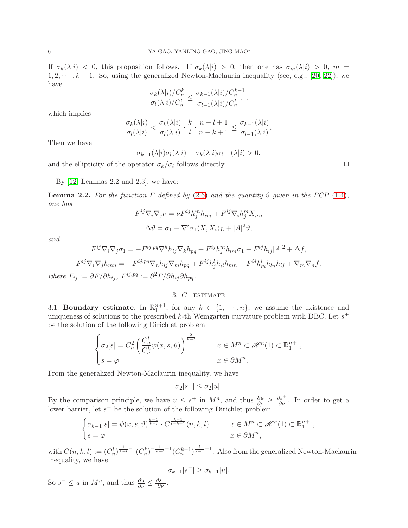If  $\sigma_k(\lambda|i) < 0$ , this proposition follows. If  $\sigma_k(\lambda|i) > 0$ , then one has  $\sigma_m(\lambda|i) > 0$ ,  $m =$  $1, 2, \dots, k-1$ . So, using the generalized Newton-Maclaurin inequality (see, e.g., [\[20,](#page-25-19) [22\]](#page-26-1)), we have

$$
\frac{\sigma_k(\lambda|i)/C_n^k}{\sigma_l(\lambda|i)/C_n^l} \le \frac{\sigma_{k-1}(\lambda|i)/C_n^{k-1}}{\sigma_{l-1}(\lambda|i)/C_n^{l-1}},
$$

which implies

$$
\frac{\sigma_k(\lambda|i)}{\sigma_l(\lambda|i)} < \frac{\sigma_k(\lambda|i)}{\sigma_l(\lambda|i)} \cdot \frac{k}{l} \cdot \frac{n-l+1}{n-k+1} \le \frac{\sigma_{k-1}(\lambda|i)}{\sigma_{l-1}(\lambda|i)}
$$

.

Then we have

$$
\sigma_{k-1}(\lambda|i)\sigma_l(\lambda|i) - \sigma_k(\lambda|i)\sigma_{l-1}(\lambda|i) > 0,
$$

and the ellipticity of the operator  $\sigma_k/\sigma_l$  follows directly.

By  $[12,$  Lemmas 2.2 and 2.3, we have:

<span id="page-5-1"></span>**Lemma 2.2.** For the function F defined by [\(2.6\)](#page-4-3) and the quantity  $\vartheta$  given in the PCP [\(1.4\)](#page-1-0), one has

$$
F^{ij}\nabla_i\nabla_j \nu = \nu F^{ij}h_j^m h_{im} + F^{ij}\nabla_i h_j^m X_m,
$$
  

$$
\Delta \vartheta = \sigma_1 + \nabla^i \sigma_1 \langle X, X_i \rangle_L + |A|^2 \vartheta,
$$

and

$$
F^{ij}\nabla_i\nabla_j\sigma_1 = -F^{ij,pq}\nabla^k h_{ij}\nabla_k h_{pq} + F^{ij}h_j^m h_{im}\sigma_1 - F^{ij}h_{ij}|A|^2 + \Delta f,
$$
  

$$
F^{ij}\nabla_i\nabla_j h_{mn} = -F^{ij,pq}\nabla_n h_{ij}\nabla_m h_{pq} + F^{ij}h_j^l h_{il}h_{mn} - F^{ij}h_m^l h_{ln}h_{ij} + \nabla_m\nabla_n f,
$$

<span id="page-5-0"></span>where  $F_{ij} := \partial F / \partial h_{ij}$ ,  $F^{ij,pq} := \partial^2 F / \partial h_{ij} \partial h_{pq}$ .

# 3.  $C^1$  estimate

3.1. Boundary estimate. In  $\mathbb{R}^{n+1}_1$ , for any  $k \in \{1, \dots, n\}$ , we assume the existence and uniqueness of solutions to the prescribed k-th Weingarten curvature problem with DBC. Let  $s^+$ be the solution of the following Dirichlet problem

$$
\begin{cases}\n\sigma_2[s] = C_n^2 \left( \frac{C_n^l}{C_n^k} \psi(x, s, \vartheta) \right)^{\frac{2}{k-l}} & x \in M^n \subset \mathcal{H}^n(1) \subset \mathbb{R}^{n+1}_1, \\
s = \varphi & x \in \partial M^n.\n\end{cases}
$$

From the generalized Newton-Maclaurin inequality, we have

$$
\sigma_2[s^+] \le \sigma_2[u].
$$

By the comparison principle, we have  $u \leq s^+$  in  $M^n$ , and thus  $\frac{\partial u}{\partial \nu} \geq \frac{\partial s^+}{\partial \nu}$ . In order to get a lower barrier, let  $s^-$  be the solution of the following Dirichlet problem

$$
\begin{cases} \sigma_{k-1}[s] = \psi(x,s,\vartheta)^{\frac{k-1}{k-l}} \cdot C^{\frac{k-1}{l-k+1}}(n,k,l) & x \in M^n \subset \mathcal{H}^n(1) \subset \mathbb{R}^{n+1}_1, \\ s = \varphi & x \in \partial M^n, \end{cases}
$$

with  $C(n, k, l) := (C_n^l)^{\frac{1}{k-l}-1} (C_n^k)^{-\frac{1}{k-l}+1} (C_n^{k-1})^{\frac{l}{k-1}-1}$ . Also from the generalized Newton-Maclaurin inequality, we have

$$
\sigma_{k-1}[s^-] \geq \sigma_{k-1}[u].
$$

So  $s^- \le u$  in  $M^n$ , and thus  $\frac{\partial u}{\partial \nu} \le$  $rac{\partial s}{\partial \nu}$ .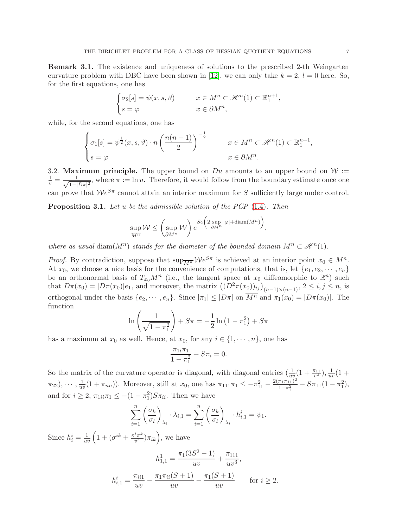Remark 3.1. The existence and uniqueness of solutions to the prescribed 2-th Weingarten curvature problem with DBC have been shown in [\[12\]](#page-25-0), we can only take  $k = 2$ ,  $l = 0$  here. So, for the first equations, one has

$$
\begin{cases}\n\sigma_2[s] = \psi(x, s, \vartheta) & x \in M^n \subset \mathcal{H}^n(1) \subset \mathbb{R}^{n+1}_1, \\
s = \varphi & x \in \partial M^n,\n\end{cases}
$$

while, for the second equations, one has

$$
\begin{cases}\n\sigma_1[s] = \psi^{\frac{1}{2}}(x, s, \vartheta) \cdot n \left(\frac{n(n-1)}{2}\right)^{-\frac{1}{2}} & x \in M^n \subset \mathcal{H}^n(1) \subset \mathbb{R}^{n+1}_1, \\
s = \varphi & x \in \partial M^n.\n\end{cases}
$$

3.2. Maximum principle. The upper bound on  $Du$  amounts to an upper bound on  $W :=$  $\frac{1}{v} = \frac{1}{\sqrt{1-1}}$  $\frac{1}{1-|D\pi|^2}$ , where  $\pi := \ln u$ . Therefore, it would follow from the boundary estimate once one can prove that  $\mathcal{W}e^{S\pi}$  cannot attain an interior maximum for S sufficiently large under control.

**Proposition 3.1.** Let u be the admissible solution of the PCP  $(1.4)$ . Then

$$
\sup_{\overline{M^n}} \mathcal{W} \le \left(\sup_{\partial M^n} \mathcal{W}\right) e^{S_2\left(2 \sup_{\partial M^n} |\varphi| + \text{diam}(M^n)\right)},
$$

where as usual diam( $M^n$ ) stands for the diameter of the bounded domain  $M^n \subset \mathcal{H}^n(1)$ .

*Proof.* By contradiction, suppose that  $\sup_{\overline{M^n}} \mathcal{W}e^{S\pi}$  is achieved at an interior point  $x_0 \in M^n$ . At  $x_0$ , we choose a nice basis for the convenience of computations, that is, let  $\{e_1, e_2, \dots, e_n\}$ be an orthonormal basis of  $T_{x_0}M^n$  (i.e., the tangent space at  $x_0$  diffeomorphic to  $\mathbb{R}^n$ ) such that  $D\pi(x_0) = |D\pi(x_0)|e_1$ , and moreover, the matrix  $((D^2\pi(x_0))_{ij})_{(n-1)\times(n-1)}$ ,  $2 \le i, j \le n$ , is orthogonal under the basis  $\{e_2, \dots, e_n\}$ . Since  $|\pi_1| \leq |D\pi|$  on  $\overline{M^n}$  and  $\pi_1(x_0) = |D\pi(x_0)|$ . The function

$$
\ln\left(\frac{1}{\sqrt{1-\pi_1^2}}\right) + S\pi = -\frac{1}{2}\ln\left(1-\pi_1^2\right) + S\pi
$$

has a maximum at  $x_0$  as well. Hence, at  $x_0$ , for any  $i \in \{1, \dots, n\}$ , one has

$$
\frac{\pi_{1i}\pi_1}{1-\pi_1^2} + S\pi_i = 0.
$$

So the matrix of the curvature operator is diagonal, with diagonal entries  $(\frac{1}{uv}(1 + \frac{\pi_{11}}{v^2}), \frac{1}{uu})$  $\frac{1}{uv}(1 +$  $(\pi_{22}), \cdots, \frac{1}{u^n}$  $\frac{1}{uv}(1+\pi_{nn})$ ). Moreover, still at  $x_0$ , one has  $\pi_{111}\pi_1 \leq -\pi_{11}^2 - \frac{2(\pi_1\pi_{11})^2}{1-\pi_1^2}$  $\frac{\pi_1 \pi_{11}^2}{1-\pi_1^2} - S\pi_{11}(1-\pi_1^2),$ and for  $i \geq 2$ ,  $\pi_{1ii}\pi_1 \leq -(1 - \pi_1^2)S\pi_{ii}$ . Then we have

$$
\sum_{i=1}^{n} \left(\frac{\sigma_k}{\sigma_l}\right)_{\lambda_i} \cdot \lambda_{i,1} = \sum_{i=1}^{n} \left(\frac{\sigma_k}{\sigma_l}\right)_{\lambda_i} \cdot h_{i,1}^i = \psi_1.
$$

Since  $h_i^i = \frac{1}{uv} \left( 1 + (\sigma^{ik} + \frac{\pi^i \pi^k}{v^2}) \right)$  $(\frac{i\pi^k}{v^2})\pi_{ik}$ , we have

$$
h_{1,1}^1 = \frac{\pi_1(3S^2 - 1)}{uv} + \frac{\pi_{111}}{uv^3},
$$
  

$$
h_{i,1}^i = \frac{\pi_{ii1}}{uv} - \frac{\pi_1\pi_{ii}(S+1)}{uv} - \frac{\pi_1(S+1)}{uv} \quad \text{for } i \ge 2.
$$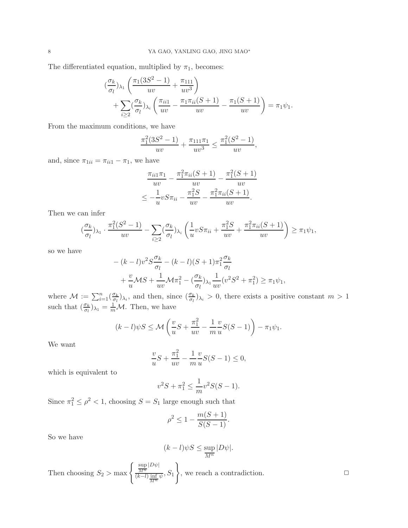The differentiated equation, multiplied by  $\pi_1$ , becomes:

$$
\begin{aligned} &(\frac{\sigma_k}{\sigma_l})_{\lambda_1} \left( \frac{\pi_1 (3S^2 - 1)}{uv} + \frac{\pi_{111}}{uv^3} \right) \\ &+ \sum_{i \ge 2} (\frac{\sigma_k}{\sigma_l})_{\lambda_i} \left( \frac{\pi_{ii1}}{uv} - \frac{\pi_1 \pi_{ii}(S+1)}{uv} - \frac{\pi_1 (S+1)}{uv} \right) = \pi_1 \psi_1. \end{aligned}
$$

From the maximum conditions, we have

$$
\frac{\pi_1^2(3S^2 - 1)}{uv} + \frac{\pi_{111}\pi_1}{uv^3} \le \frac{\pi_1^2(S^2 - 1)}{uv},
$$

and, since  $\pi_{1ii} = \pi_{ii1} - \pi_1$ , we have

$$
\frac{\pi_{ii1}\pi_1}{uv} - \frac{\pi_1^2\pi_{ii}(S+1)}{uv} - \frac{\pi_1^2(S+1)}{uv}
$$

$$
\leq -\frac{1}{u}vS\pi_{ii} - \frac{\pi_1^2S}{uv} - \frac{\pi_1^2\pi_{ii}(S+1)}{uv}.
$$

Then we can infer

$$
\left(\frac{\sigma_k}{\sigma_l}\right)_{\lambda_1} \cdot \frac{\pi_1^2(S^2 - 1)}{uv} - \sum_{i \ge 2} \left(\frac{\sigma_k}{\sigma_l}\right)_{\lambda_i} \left(\frac{1}{u}v S \pi_{ii} + \frac{\pi_1^2 S}{uv} + \frac{\pi_1^2 \pi_{ii}(S + 1)}{uv}\right) \ge \pi_1 \psi_1,
$$

so we have

$$
-(k-l)v^2S\frac{\sigma_k}{\sigma_l} - (k-l)(S+1)\pi_1^2\frac{\sigma_k}{\sigma_l}
$$
  
+ 
$$
\frac{v}{u}\mathcal{M}S + \frac{1}{uv}\mathcal{M}\pi_1^2 - (\frac{\sigma_k}{\sigma_l})_{\lambda_1}\frac{1}{uv}(v^2S^2 + \pi_1^2) \ge \pi_1\psi_1,
$$

where  $\mathcal{M} := \sum_{i=1}^n (\frac{\sigma_k}{\sigma_l})$  $\frac{\sigma_k}{\sigma_l}\big)_{\lambda_i}$ , and then, since  $\left(\frac{\sigma_k}{\sigma_l}\right)_{\lambda_i} > 0$ , there exists a positive constant  $m > 1$ such that  $\left(\frac{\sigma_k}{\sigma_l}\right)_{\lambda_1} = \frac{1}{m}\mathcal{M}$ . Then, we have

$$
(k-l)\psi S \le \mathcal{M}\left(\frac{v}{u}S + \frac{\pi_1^2}{uv} - \frac{1}{m}\frac{v}{u}S(S-1)\right) - \pi_1\psi_1.
$$

We want

$$
\frac{v}{u}S + \frac{\pi_1^2}{uv} - \frac{1}{m} \frac{v}{u} S(S-1) \le 0,
$$

which is equivalent to

$$
v^2S + \pi_1^2 \le \frac{1}{m}v^2S(S-1).
$$

Since  $\pi_1^2 \le \rho^2 < 1$ , choosing  $S = S_1$  large enough such that

$$
\rho^2 \le 1 - \frac{m(S+1)}{S(S-1)}.
$$

So we have

$$
(k-l)\psi S \le \sup_{\overline{M^n}} |D\psi|.
$$

Then choosing  $S_2 > \max \left\{\frac{\sup}{M^n}\right\}$  $|D\psi|$  $\frac{M^n}{(k-l)\frac{\inf}{M^n}\psi}, S_1$  $\mathcal{L}$ , we reach a contradiction.  $\hfill \Box$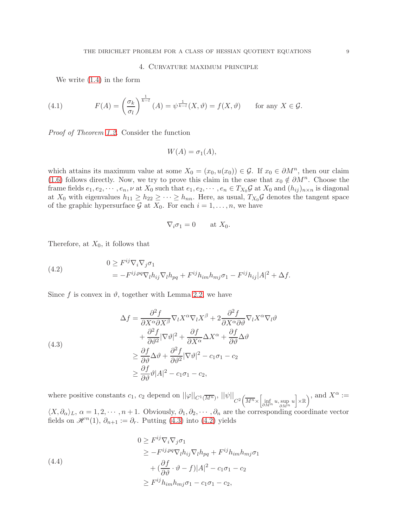# 4. Curvature maximum principle

<span id="page-8-0"></span>We write [\(1.4\)](#page-1-0) in the form

(4.1) 
$$
F(A) = \left(\frac{\sigma_k}{\sigma_l}\right)^{\frac{1}{k-l}} (A) = \psi^{\frac{1}{k-l}} (X, \vartheta) = f(X, \vartheta) \quad \text{for any } X \in \mathcal{G}.
$$

Proof of Theorem [1.2.](#page-2-1) Consider the function

$$
W(A) = \sigma_1(A),
$$

which attains its maximum value at some  $X_0 = (x_0, u(x_0)) \in \mathcal{G}$ . If  $x_0 \in \partial M^n$ , then our claim [\(1.6\)](#page-2-2) follows directly. Now, we try to prove this claim in the case that  $x_0 \notin \partial M^n$ . Choose the frame fields  $e_1, e_2, \dots, e_n, \nu$  at  $X_0$  such that  $e_1, e_2, \dots, e_n \in T_{X_0} \mathcal{G}$  at  $X_0$  and  $(h_{ij})_{n \times n}$  is diagonal at  $X_0$  with eigenvalues  $h_{11} \geq h_{22} \geq \cdots \geq h_{nn}$ . Here, as usual,  $T_{X_0} \mathcal{G}$  denotes the tangent space of the graphic hypersurface  $\mathcal G$  at  $X_0$ . For each  $i = 1, \ldots, n$ , we have

$$
\nabla_i \sigma_1 = 0 \quad \text{at } X_0.
$$

Therefore, at  $X_0$ , it follows that

<span id="page-8-2"></span>(4.2) 
$$
0 \geq F^{ij} \nabla_i \nabla_j \sigma_1
$$

$$
= -F^{ij, pq} \nabla_l h_{ij} \nabla_l h_{pq} + F^{ij} h_{im} h_{mj} \sigma_1 - F^{ij} h_{ij} |A|^2 + \Delta f.
$$

Since f is convex in  $\vartheta$ , together with Lemma [2.2,](#page-5-1) we have

<span id="page-8-1"></span>(4.3)  
\n
$$
\Delta f = \frac{\partial^2 f}{\partial X^{\alpha} \partial X^{\beta}} \nabla_l X^{\alpha} \nabla_l X^{\beta} + 2 \frac{\partial^2 f}{\partial X^{\alpha} \partial \vartheta} \nabla_l X^{\alpha} \nabla_l \vartheta \n+ \frac{\partial^2 f}{\partial \vartheta^2} |\nabla \vartheta|^2 + \frac{\partial f}{\partial X^{\alpha}} \Delta X^{\alpha} + \frac{\partial f}{\partial \vartheta} \Delta \vartheta \n\geq \frac{\partial f}{\partial \vartheta} \Delta \vartheta + \frac{\partial^2 f}{\partial \vartheta^2} |\nabla \vartheta|^2 - c_1 \sigma_1 - c_2 \n\geq \frac{\partial f}{\partial \vartheta} \vartheta |A|^2 - c_1 \sigma_1 - c_2,
$$

where positive constants  $c_1$ ,  $c_2$  depend on  $||\varphi||_{C^1(\overline{M^n})}$ ,  $||\psi||_{C^2(\overline{M^n} \times \left[\inf_{\partial M^n} u, \sup_{\partial M^n} u\right] \times \mathbb{R})}$ , and  $X^{\alpha}$  :=  $\langle X, \partial_\alpha \rangle_L, \, \alpha = 1, 2, \cdots, n+1$ . Obviously,  $\partial_1, \partial_2, \cdots, \partial_n$  are the corresponding coordinate vector

fields on  $\mathscr{H}^n(1)$ ,  $\partial_{n+1} := \partial_r$ . Putting [\(4.3\)](#page-8-1) into [\(4.2\)](#page-8-2) yields

<span id="page-8-3"></span>(4.4)  
\n
$$
0 \ge F^{ij} \nabla_i \nabla_j \sigma_1
$$
\n
$$
\ge -F^{ij, pq} \nabla_l h_{ij} \nabla_l h_{pq} + F^{ij} h_{im} h_{mj} \sigma_1
$$
\n
$$
+ (\frac{\partial f}{\partial \vartheta} \cdot \vartheta - f) |A|^2 - c_1 \sigma_1 - c_2
$$
\n
$$
\ge F^{ij} h_{im} h_{mj} \sigma_1 - c_1 \sigma_1 - c_2,
$$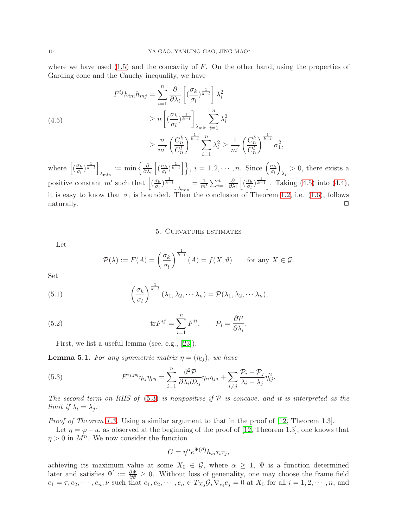where we have used  $(1.5)$  and the concavity of F. On the other hand, using the properties of Garding cone and the Cauchy inequality, we have

<span id="page-9-1"></span>(4.5)  

$$
F^{ij}h_{im}h_{mj} = \sum_{i=1}^{n} \frac{\partial}{\partial \lambda_i} \left[ \left( \frac{\sigma_k}{\sigma_l} \right)^{\frac{1}{k-l}} \right] \lambda_i^2
$$

$$
\geq n \left[ \left( \frac{\sigma_k}{\sigma_l} \right)^{\frac{1}{k-l}} \right]_{\lambda_{\min}} \sum_{i=1}^{n} \lambda_i^2
$$

$$
\geq \frac{n}{m'} \left( \frac{C_n^k}{C_n^l} \right)^{\frac{1}{k-l}} \sum_{i=1}^{n} \lambda_i^2 \geq \frac{1}{m'} \left( \frac{C_n^k}{C_n^l} \right)^{\frac{1}{k-l}} \sigma_1^2,
$$

where  $\left[ \left( \frac{\sigma_k}{\sigma_k} \right)$  $\frac{\sigma_k}{\sigma_l}$ ) $\frac{1}{k-l}$  $\lambda_{\min} := \min \left\{ \frac{\partial}{\partial \lambda} \right\}$  $\partial \lambda_i$  $\left[ \left( \frac{\sigma_k}{\sigma_k} \right)$  $\left\{\frac{\sigma_k}{\sigma_l}\right\}$  $\left.\frac{1}{k-l}\right\}$ ,  $i=1,2,\cdots,n$ . Since  $\left(\frac{\sigma_k}{\sigma_l}\right)$ σl  $\overline{ }$  $\lambda_i > 0$ , there exists a positive constant m' such that  $\left[\left(\frac{\sigma_k}{\sigma_k}\right)\right]$  $\frac{\sigma_k}{\sigma_l}$ ) $\frac{1}{k-l}$  $\lambda_{\min} = \frac{1}{m'} \sum_{i=1}^{n} \frac{\partial}{\partial \lambda}$  $\partial \lambda_i$  $\left[ \left( \frac{\sigma_k}{\sigma_k} \right)$  $\left(\frac{\sigma_k}{\sigma_l}\right)^{\frac{1}{k-l}}$ . Taking [\(4.5\)](#page-9-1) into [\(4.4\)](#page-8-3), it is easy to know that  $\sigma_1$  is bounded. Then the conclusion of Theorem [1.2,](#page-2-1) i.e. [\(1.6\)](#page-2-2), follows  $\Box$   $\Box$ 

#### 5. Curvature estimates

<span id="page-9-0"></span>Let

$$
\mathcal{P}(\lambda) := F(A) = \left(\frac{\sigma_k}{\sigma_l}\right)^{\frac{1}{k-l}} (A) = f(X, \vartheta) \quad \text{for any } X \in \mathcal{G}.
$$

Set

(5.1) 
$$
\left(\frac{\sigma_k}{\sigma_l}\right)^{\frac{1}{k-l}} (\lambda_1, \lambda_2, \cdots \lambda_n) = \mathcal{P}(\lambda_1, \lambda_2, \cdots \lambda_n),
$$

(5.2) 
$$
\operatorname{tr} F^{ij} = \sum_{i=1}^{n} F^{ii}, \qquad \mathcal{P}_i = \frac{\partial \mathcal{P}}{\partial \lambda_i}.
$$

<span id="page-9-2"></span>First, we list a useful lemma (see, e.g., [\[23\]](#page-26-0)).

**Lemma 5.1.** For any symmetric matrix  $\eta = (\eta_{ij})$ , we have

(5.3) 
$$
F^{ij,pq}\eta_{ij}\eta_{pq} = \sum_{i=1}^n \frac{\partial^2 \mathcal{P}}{\partial \lambda_i \partial \lambda_j} \eta_{ii}\eta_{jj} + \sum_{i \neq j} \frac{\mathcal{P}_i - \mathcal{P}_j}{\lambda_i - \lambda_j} \eta_{ij}^2.
$$

The second term on RHS of  $(5.3)$  is nonpositive if P is concave, and it is interpreted as the limit if  $\lambda_i = \lambda_j$ .

Proof of Theorem [1.3.](#page-3-1) Using a similar argument to that in the proof of [\[12,](#page-25-0) Theorem 1.3].

Let  $\eta = \varphi - u$ , as observed at the beginning of the proof of [\[12,](#page-25-0) Theorem 1.3], one knows that  $\eta > 0$  in  $M^n$ . We now consider the function

$$
G = \eta^{\alpha} e^{\Psi(\vartheta)} h_{ij} \tau_i \tau_j,
$$

achieving its maximum value at some  $X_0 \in \mathcal{G}$ , where  $\alpha \geq 1$ ,  $\Psi$  is a function determined later and satisfies  $\Psi' := \frac{\partial \Psi}{\partial \theta} \geq 0$ . Without loss of generality, one may choose the frame field  $e_1 = \tau, e_2, \dots, e_n, \nu$  such that  $e_1, e_2, \dots, e_n \in T_{X_0} \mathcal{G}, \nabla_{e_i} e_j = 0$  at  $X_0$  for all  $i = 1, 2, \dots, n$ , and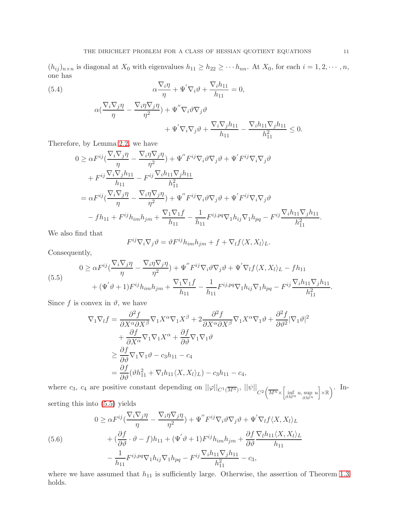$(h_{ij})_{n\times n}$  is diagonal at  $X_0$  with eigenvalues  $h_{11} \geq h_{22} \geq \cdots h_{nn}$ . At  $X_0$ , for each  $i = 1, 2, \cdots, n$ , one has

(5.4)  
\n
$$
\alpha \frac{\nabla_i \eta}{\eta} + \Psi' \nabla_i \vartheta + \frac{\nabla_i h_{11}}{h_{11}} = 0,
$$
\n
$$
\alpha (\frac{\nabla_i \nabla_j \eta}{\eta} - \frac{\nabla_i \eta \nabla_j \eta}{\eta^2}) + \Psi'' \nabla_i \vartheta \nabla_j \vartheta + \Psi' \nabla_i \nabla_j \vartheta + \frac{\nabla_i \nabla_j h_{11}}{h_{11}} - \frac{\nabla_i h_{11} \nabla_j h_{11}}{h_{11}^2} \le 0.
$$

Therefore, by Lemma [2.2,](#page-5-1) we have

<span id="page-10-2"></span>
$$
0 \geq \alpha F^{ij} \left( \frac{\nabla_i \nabla_j \eta}{\eta} - \frac{\nabla_i \eta \nabla_j \eta}{\eta^2} \right) + \Psi'' F^{ij} \nabla_i \vartheta \nabla_j \vartheta + \Psi' F^{ij} \nabla_i \nabla_j \vartheta + F^{ij} \frac{\nabla_i \nabla_j h_{11}}{h_{11}} - F^{ij} \frac{\nabla_i h_{11} \nabla_j h_{11}}{h_{11}^2} = \alpha F^{ij} \left( \frac{\nabla_i \nabla_j \eta}{\eta} - \frac{\nabla_i \eta \nabla_j \eta}{\eta^2} \right) + \Psi'' F^{ij} \nabla_i \vartheta \nabla_j \vartheta + \Psi' F^{ij} \nabla_i \nabla_j \vartheta - f h_{11} + F^{ij} h_{im} h_{jm} + \frac{\nabla_1 \nabla_1 f}{h_{11}} - \frac{1}{h_{11}} F^{ij, pq} \nabla_1 h_{ij} \nabla_1 h_{pq} - F^{ij} \frac{\nabla_i h_{11} \nabla_j h_{11}}{h_{11}^2}.
$$

We also find that

$$
F^{ij}\nabla_i\nabla_j\vartheta = \vartheta F^{ij}h_{im}h_{jm} + f + \nabla_l f \langle X, X_l \rangle_L.
$$

Consequently,

<span id="page-10-0"></span>(5.5)  
\n
$$
0 \geq \alpha F^{ij} \left( \frac{\nabla_i \nabla_j \eta}{\eta} - \frac{\nabla_i \eta \nabla_j \eta}{\eta^2} \right) + \Psi'' F^{ij} \nabla_i \vartheta \nabla_j \vartheta + \Psi' \nabla_l f \langle X, X_l \rangle_L - f h_{11} + (\Psi' \vartheta + 1) F^{ij} h_{im} h_{jm} + \frac{\nabla_1 \nabla_1 f}{h_{11}} - \frac{1}{h_{11}} F^{ij, pq} \nabla_1 h_{ij} \nabla_1 h_{pq} - F^{ij} \frac{\nabla_i h_{11} \nabla_j h_{11}}{h_{11}^2}.
$$

Since f is convex in  $\vartheta$ , we have

$$
\nabla_1 \nabla_l f = \frac{\partial^2 f}{\partial X^{\alpha} \partial X^{\beta}} \nabla_1 X^{\alpha} \nabla_1 X^{\beta} + 2 \frac{\partial^2 f}{\partial X^{\alpha} \partial X^{\beta}} \nabla_1 X^{\alpha} \nabla_1 \vartheta + \frac{\partial^2 f}{\partial \vartheta^2} |\nabla_1 \vartheta|^2
$$
  
+ 
$$
\frac{\partial f}{\partial X^{\alpha}} \nabla_1 \nabla_1 X^{\alpha} + \frac{\partial f}{\partial \vartheta} \nabla_1 \nabla_1 \vartheta
$$
  

$$
\geq \frac{\partial f}{\partial \vartheta} \nabla_1 \nabla_1 \vartheta - c_3 h_{11} - c_4
$$
  
= 
$$
\frac{\partial f}{\partial \vartheta} (\vartheta h_{11}^2 + \nabla_l h_{11} \langle X, X_l \rangle_L) - c_3 h_{11} - c_4,
$$

where  $c_3$ ,  $c_4$  are positive constant depending on  $||\varphi||_{C^1(\overline{M^n})}$ ,  $||\psi||_{C^2(\overline{M^n} \times \left[\inf_{\partial M^n} u, \sup_{\partial M^n} u\right] \times \mathbb{R})}$ . Inserting this into [\(5.5\)](#page-10-0) yields

<span id="page-10-1"></span>(5.6)  
\n
$$
0 \geq \alpha F^{ij} \left( \frac{\nabla_i \nabla_j \eta}{\eta} - \frac{\nabla_i \eta \nabla_j \eta}{\eta^2} \right) + \Psi'' F^{ij} \nabla_i \vartheta \nabla_j \vartheta + \Psi' \nabla_l f \langle X, X_l \rangle_L
$$
\n
$$
+ \left( \frac{\partial f}{\partial \vartheta} \cdot \vartheta - f \right) h_{11} + (\Psi' \vartheta + 1) F^{ij} h_{im} h_{jm} + \frac{\partial f}{\partial \vartheta} \frac{\nabla_l h_{11} \langle X, X_l \rangle_L}{h_{11}} - \frac{1}{h_{11}} F^{ij, pq} \nabla_1 h_{ij} \nabla_1 h_{pq} - F^{ij} \frac{\nabla_i h_{11} \nabla_j h_{11}}{h_{11}^2} - c_3,
$$

where we have assumed that  $h_{11}$  is sufficiently large. Otherwise, the assertion of Theorem [1.3](#page-3-1) holds.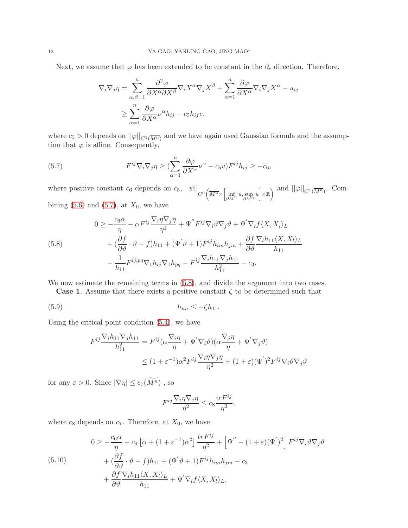Next, we assume that  $\varphi$  has been extended to be constant in the  $\partial_r$  direction. Therefore,

$$
\nabla_i \nabla_j \eta = \sum_{\alpha, \beta=1}^n \frac{\partial^2 \varphi}{\partial X^{\alpha} \partial X^{\beta}} \nabla_i X^{\alpha} \nabla_j X^{\beta} + \sum_{\alpha=1}^n \frac{\partial \varphi}{\partial X^{\alpha}} \nabla_i \nabla_j X^{\alpha} - u_{ij}
$$

$$
\geq \sum_{\alpha=1}^n \frac{\partial \varphi}{\partial X^{\alpha}} \nu^{\alpha} h_{ij} - c_5 h_{ij} v,
$$

where  $c_5 > 0$  depends on  $||\varphi||_{C^1(\overline{M^n})}$  and we have again used Gaussian formula and the assumption that  $\varphi$  is affine. Consequently,

<span id="page-11-0"></span>(5.7) 
$$
F^{ij}\nabla_i\nabla_j\eta \geq \left(\sum_{\alpha=1}^n \frac{\partial \varphi}{\partial X^{\alpha}}\nu^{\alpha} - c_5 v\right)F^{ij}h_{ij} \geq -c_6,
$$

where positive constant  $c_6$  depends on  $c_5$ ,  $||\psi||_{C^0} \left(\overline{M^n} \times \left[\inf_{\partial M^n} u, \sup_{\partial M^n} u\right] \times \mathbb{R}\right)$  and  $||\varphi||_{C^1(\overline{M^n})}$ . Combining  $(5.6)$  and  $(5.7)$ , at  $X_0$ , we have

<span id="page-11-1"></span>(5.8)  
\n
$$
0 \ge -\frac{c_6 \alpha}{\eta} - \alpha F^{ij} \frac{\nabla_i \eta \nabla_j \eta}{\eta^2} + \Psi'' F^{ij} \nabla_i \vartheta \nabla_j \vartheta + \Psi' \nabla_l f \langle X, X_l \rangle_L
$$
\n
$$
+ \left( \frac{\partial f}{\partial \vartheta} \cdot \vartheta - f \right) h_{11} + (\Psi' \vartheta + 1) F^{ij} h_{im} h_{jm} + \frac{\partial f}{\partial \vartheta} \frac{\nabla_l h_{11} \langle X, X_l \rangle_L}{h_{11}} - \frac{1}{h_{11}} F^{ij, pq} \nabla_1 h_{ij} \nabla_1 h_{pq} - F^{ij} \frac{\nabla_l h_{11} \nabla_j h_{11}}{h_{11}^2} - c_3.
$$

We now estimate the remaining terms in  $(5.8)$ , and divide the argument into two cases.

**Case 1.** Assume that there exists a positive constant  $\zeta$  to be determined such that

(5.9) hnn ≤ −ζh11.

Using the critical point condition [\(5.4\)](#page-10-2), we have

<span id="page-11-3"></span>
$$
F^{ij} \frac{\nabla_i h_{11} \nabla_j h_{11}}{h_{11}^2} = F^{ij} (\alpha \frac{\nabla_i \eta}{\eta} + \Psi' \nabla_i \vartheta) (\alpha \frac{\nabla_j \eta}{\eta} + \Psi' \nabla_j \vartheta)
$$
  

$$
\leq (1 + \varepsilon^{-1}) \alpha^2 F^{ij} \frac{\nabla_i \eta \nabla_j \eta}{\eta^2} + (1 + \varepsilon) (\Psi')^2 F^{ij} \nabla_i \vartheta \nabla_j \vartheta
$$

for any  $\varepsilon>0.$  Since  $|\nabla\eta|\leq c_7(\widetilde{M^n})$  , so

$$
F^{ij} \frac{\nabla_i \eta \nabla_j \eta}{\eta^2} \le c_8 \frac{\text{tr} F^{ij}}{\eta^2},
$$

where  $c_8$  depends on  $c_7$ . Therefore, at  $X_0$ , we have

<span id="page-11-2"></span>(5.10)  
\n
$$
0 \ge -\frac{c_6 \alpha}{\eta} - c_9 \left[ \alpha + (1 + \varepsilon^{-1}) \alpha^2 \right] \frac{tr F^{ij}}{\eta^2} + \left[ \Psi'' - (1 + \varepsilon) (\Psi')^2 \right] F^{ij} \nabla_i \vartheta \nabla_j \vartheta
$$
\n
$$
+ \left( \frac{\partial f}{\partial \vartheta} \cdot \vartheta - f \right) h_{11} + (\Psi' \vartheta + 1) F^{ij} h_{im} h_{jm} - c_3
$$
\n
$$
+ \frac{\partial f}{\partial \vartheta} \frac{\nabla_l h_{11} \langle X, X_l \rangle_L}{h_{11}} + \Psi' \nabla_l f \langle X, X_l \rangle_L,
$$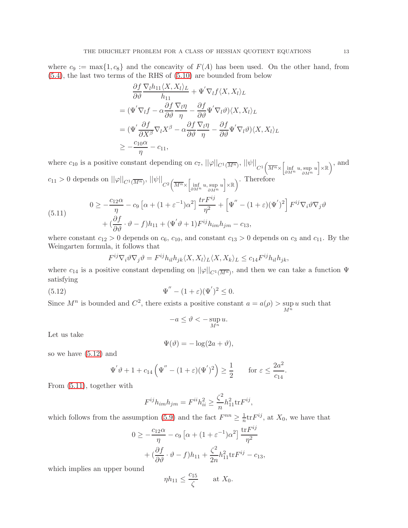where  $c_9 := \max\{1, c_8\}$  and the concavity of  $F(A)$  has been used. On the other hand, from [\(5.4\)](#page-10-2), the last two terms of the RHS of [\(5.10\)](#page-11-2) are bounded from below

$$
\frac{\partial f}{\partial \theta} \frac{\nabla_l h_{11} \langle X, X_l \rangle_L}{h_{11}} + \Psi' \nabla_l f \langle X, X_l \rangle_L
$$
\n
$$
= (\Psi' \nabla_l f - \alpha \frac{\partial f}{\partial \theta} \frac{\nabla_l \eta}{\eta} - \frac{\partial f}{\partial \theta} \Psi' \nabla_l \theta) \langle X, X_l \rangle_L
$$
\n
$$
= (\Psi' \frac{\partial f}{\partial X^\beta} \nabla_l X^\beta - \alpha \frac{\partial f}{\partial \theta} \frac{\nabla_l \eta}{\eta} - \frac{\partial f}{\partial \theta} \Psi' \nabla_l \theta) \langle X, X_l \rangle_L
$$
\n
$$
\geq -\frac{c_{10} \alpha}{\eta} - c_{11},
$$

where  $c_{10}$  is a positive constant depending on  $c_7$ ,  $||\varphi||_{C^1(\overline{M^n})}$ ,  $||\psi||_{C^1(\overline{M^n} \times \left[\inf_{\partial M^n} u, \sup_{\partial M^n} u\right] \times \mathbb{R})}$ , and  $c_{11} > 0$  depends on  $||\varphi||_{C^1(\overline{M^n})}$ ,  $||\psi||_{C^2(\overline{M^n} \times \left[\inf_{\partial M^n} u, \sup_{\partial M^n} u\right] \times \mathbb{R})}$ . Therefore

<span id="page-12-1"></span>(5.11) 
$$
0 \ge -\frac{c_{12}\alpha}{\eta} - c_9 \left[ \alpha + (1 + \varepsilon^{-1})\alpha^2 \right] \frac{tr F^{ij}}{\eta^2} + \left[ \Psi'' - (1 + \varepsilon)(\Psi')^2 \right] F^{ij} \nabla_i \vartheta \nabla_j \vartheta + \left( \frac{\partial f}{\partial \vartheta} \cdot \vartheta - f \right) h_{11} + (\Psi' \vartheta + 1) F^{ij} h_{im} h_{jm} - c_{13},
$$

where constant  $c_{12} > 0$  depends on  $c_6$ ,  $c_{10}$ , and constant  $c_{13} > 0$  depends on  $c_3$  and  $c_{11}$ . By the Weingarten formula, it follows that

$$
F^{ij}\nabla_i\vartheta\nabla_j\vartheta = F^{ij}h_{il}h_{jk}\langle X, X_l\rangle_L\langle X, X_k\rangle_L \le c_{14}F^{ij}h_{il}h_{jk},
$$

where  $c_{14}$  is a positive constant depending on  $||\varphi||_{C^{1}(\overline{M^n})}$ , and then we can take a function  $\Psi$ satisfying

(5.12) 
$$
\Psi'' - (1 + \varepsilon)(\Psi')^2 \le 0.
$$

Since  $M^n$  is bounded and  $C^2$ , there exists a positive constant  $a = a(\rho) > \sup$  $M^n$ u such that

<span id="page-12-0"></span>
$$
-a \le \vartheta < -\sup_{M^n} u.
$$

Let us take

$$
\Psi(\vartheta) = -\log(2a + \vartheta),
$$

so we have [\(5.12\)](#page-12-0) and

$$
\Psi' \vartheta + 1 + c_{14} \left( \Psi'' - (1 + \varepsilon)(\Psi')^2 \right) \ge \frac{1}{2}
$$
 for  $\varepsilon \le \frac{2a^2}{c_{14}}$ .

From [\(5.11\)](#page-12-1), together with

$$
F^{ij}h_{im}h_{jm} = F^{ii}h_{ii}^2 \ge \frac{\zeta^2}{n}h_{11}^2 \text{tr} F^{ij},
$$

which follows from the assumption [\(5.9\)](#page-11-3) and the fact  $F^{nn} \geq \frac{1}{n}$  $\frac{1}{n}$ tr $F^{ij}$ , at  $X_0$ , we have that

$$
0 \ge -\frac{c_{12}\alpha}{\eta} - c_9 \left[ \alpha + (1 + \varepsilon^{-1})\alpha^2 \right] \frac{\text{tr} F^{ij}}{\eta^2} + \left( \frac{\partial f}{\partial \vartheta} \cdot \vartheta - f \right) h_{11} + \frac{\zeta^2}{2n} h_{11}^2 \text{tr} F^{ij} - c_{13},
$$

which implies an upper bound

$$
\eta h_{11} \le \frac{c_{15}}{\zeta} \qquad \text{at } X_0.
$$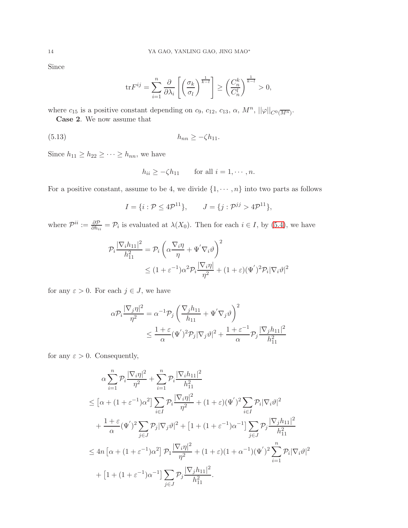Since

$$
\mathrm{tr} F^{ij} = \sum_{i=1}^n \frac{\partial}{\partial \lambda_i} \left[ \left( \frac{\sigma_k}{\sigma_l} \right)^{\frac{1}{k-l}} \right] \ge \left( \frac{C_n^k}{C_n^l} \right)^{\frac{1}{k-l}} > 0,
$$

where  $c_{15}$  is a positive constant depending on  $c_9$ ,  $c_{12}$ ,  $c_{13}$ ,  $\alpha$ ,  $M^n$ ,  $||\varphi||_{C^0(\overline{M^n})}$ .

Case 2. We now assume that

(5.13) hnn ≥ −ζh11.

Since  $h_{11} \geq h_{22} \geq \cdots \geq h_{nn}$ , we have

$$
h_{ii} \ge -\zeta h_{11} \qquad \text{for all } i = 1, \cdots, n.
$$

For a positive constant, assume to be 4, we divide  $\{1, \dots, n\}$  into two parts as follows

$$
I = \{i : \mathcal{P} \le 4\mathcal{P}^{11}\}, \qquad J = \{j : \mathcal{P}^{jj} > 4\mathcal{P}^{11}\},
$$

where  $\mathcal{P}^{ii} := \frac{\partial \mathcal{P}}{\partial h_{ii}} = \mathcal{P}_i$  is evaluated at  $\lambda(X_0)$ . Then for each  $i \in I$ , by [\(5.4\)](#page-10-2), we have

$$
\mathcal{P}_{i} \frac{|\nabla_{i} h_{11}|^{2}}{h_{11}^{2}} = \mathcal{P}_{i} \left( \alpha \frac{\nabla_{i} \eta}{\eta} + \Psi' \nabla_{i} \vartheta \right)^{2}
$$
  

$$
\leq (1 + \varepsilon^{-1}) \alpha^{2} \mathcal{P}_{i} \frac{|\nabla_{i} \eta|}{\eta^{2}} + (1 + \varepsilon) (\Psi')^{2} \mathcal{P}_{i} |\nabla_{i} \vartheta|^{2}
$$

for any  $\varepsilon > 0$ . For each  $j \in J$ , we have

$$
\alpha \mathcal{P}_i \frac{|\nabla_j \eta|^2}{\eta^2} = \alpha^{-1} \mathcal{P}_j \left( \frac{\nabla_j h_{11}}{h_{11}} + \Psi' \nabla_j \vartheta \right)^2
$$
  

$$
\leq \frac{1 + \varepsilon}{\alpha} (\Psi')^2 \mathcal{P}_j |\nabla_j \vartheta|^2 + \frac{1 + \varepsilon^{-1}}{\alpha} \mathcal{P}_j \frac{|\nabla_j h_{11}|^2}{h_{11}^2}
$$

for any  $\varepsilon > 0$ . Consequently,

$$
\alpha \sum_{i=1}^{n} \mathcal{P}_i \frac{|\nabla_i \eta|^2}{\eta^2} + \sum_{i=1}^{n} \mathcal{P}_i \frac{|\nabla_i h_{11}|^2}{h_{11}^2}
$$
\n
$$
\leq [\alpha + (1 + \varepsilon^{-1})\alpha^2] \sum_{i \in I} \mathcal{P}_i \frac{|\nabla_i \eta|^2}{\eta^2} + (1 + \varepsilon)(\Psi')^2 \sum_{i \in I} \mathcal{P}_i |\nabla_i \vartheta|^2
$$
\n
$$
+ \frac{1 + \varepsilon}{\alpha} (\Psi')^2 \sum_{j \in J} \mathcal{P}_j |\nabla_j \vartheta|^2 + [1 + (1 + \varepsilon^{-1})\alpha^{-1}] \sum_{j \in J} \mathcal{P}_j \frac{|\nabla_j h_{11}|^2}{h_{11}^2}
$$
\n
$$
\leq 4n [\alpha + (1 + \varepsilon^{-1})\alpha^2] \mathcal{P}_1 \frac{|\nabla_i \eta|^2}{\eta^2} + (1 + \varepsilon)(1 + \alpha^{-1})(\Psi')^2 \sum_{i=1}^{n} \mathcal{P}_i |\nabla_i \vartheta|^2
$$
\n
$$
+ [1 + (1 + \varepsilon^{-1})\alpha^{-1}] \sum_{j \in J} \mathcal{P}_j \frac{|\nabla_j h_{11}|^2}{h_{11}^2}.
$$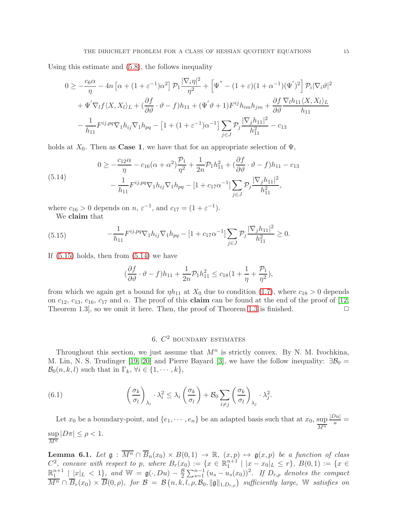Using this estimate and [\(5.8\)](#page-11-1), the follows inequality

$$
0 \ge -\frac{c_6 \alpha}{\eta} - 4n \left[ \alpha + (1 + \varepsilon^{-1}) \alpha^2 \right] \mathcal{P}_1 \frac{|\nabla_i \eta|^2}{\eta^2} + \left[ \Psi'' - (1 + \varepsilon)(1 + \alpha^{-1})(\Psi')^2 \right] \mathcal{P}_i |\nabla_i \vartheta|^2
$$
  
+  $\Psi' \nabla_l f \langle X, X_l \rangle_L + (\frac{\partial f}{\partial \vartheta} \cdot \vartheta - f) h_{11} + (\Psi' \vartheta + 1) F^{ij} h_{im} h_{jm} + \frac{\partial f}{\partial \vartheta} \frac{\nabla_l h_{11} \langle X, X_l \rangle_L}{h_{11}} -\frac{1}{h_{11}} F^{ij, pq} \nabla_1 h_{ij} \nabla_1 h_{pq} - \left[ 1 + (1 + \varepsilon^{-1}) \alpha^{-1} \right] \sum_{j \in J} \mathcal{P}_j \frac{|\nabla_j h_{11}|^2}{h_{11}^2} - c_{13}$ 

holds at  $X_0$ . Then as **Case 1**, we have that for an appropriate selection of  $\Psi$ ,

<span id="page-14-1"></span>(5.14) 
$$
0 \ge -\frac{c_{12}\alpha}{\eta} - c_{16}(\alpha + \alpha^2)\frac{\mathcal{P}_1}{\eta^2} + \frac{1}{2n}\mathcal{P}_1h_{11}^2 + (\frac{\partial f}{\partial \vartheta} \cdot \vartheta - f)h_{11} - c_{13} - \frac{1}{h_{11}}F^{ij,pq}\nabla_1h_{ij}\nabla_1h_{pq} - [1 + c_{17}\alpha^{-1}]\sum_{j\in J}\mathcal{P}_j\frac{|\nabla_j h_{11}|^2}{h_{11}^2},
$$

where  $c_{16} > 0$  depends on  $n, \varepsilon^{-1}$ , and  $c_{17} = (1 + \varepsilon^{-1})$ .

We claim that

<span id="page-14-0"></span>(5.15) 
$$
-\frac{1}{h_{11}} F^{ij,pq} \nabla_1 h_{ij} \nabla_1 h_{pq} - [1 + c_{17} \alpha^{-1}] \sum_{j \in J} \mathcal{P}_j \frac{|\nabla_j h_{11}|^2}{h_{11}^2} \ge 0.
$$

If  $(5.15)$  holds, then from  $(5.14)$  we have

$$
(\frac{\partial f}{\partial \vartheta} \cdot \vartheta - f)h_{11} + \frac{1}{2n} \mathcal{P}_1h_{11}^2 \le c_{18}(1 + \frac{1}{\eta} + \frac{\mathcal{P}_1}{\eta^2}),
$$

from which we again get a bound for  $\eta h_{11}$  at  $X_0$  due to condition [\(1.7\)](#page-3-2), where  $c_{18} > 0$  depends on  $c_{12}$ ,  $c_{13}$ ,  $c_{16}$ ,  $c_{17}$  and  $\alpha$ . The proof of this **claim** can be found at the end of the proof of [\[12,](#page-25-0) Theorem [1.3](#page-3-1)], so we omit it here. Then, the proof of Theorem 1.3 is finished.  $\Box$ 

# <span id="page-14-3"></span>6.  $C^2$  boundary estimates

Throughout this section, we just assume that  $M<sup>n</sup>$  is strictly convex. By N. M. Ivochkina, M. Lin, N. S. Trudinger [\[19,](#page-25-20) [20\]](#page-25-19) and Pierre Bayard [\[3\]](#page-25-16), we have the follow inequality:  $\exists \mathcal{B}_0 =$  $\mathcal{B}_0(n, k, l)$  such that in  $\Gamma_k$ ,  $\forall i \in \{1, \cdots, k\},$ 

(6.1) 
$$
\left(\frac{\sigma_k}{\sigma_l}\right)_{\lambda_i} \cdot \lambda_i^2 \leq \lambda_i \left(\frac{\sigma_k}{\sigma_l}\right) + \mathcal{B}_0 \sum_{i \neq j} \left(\frac{\sigma_k}{\sigma_l}\right)_{\lambda_j} \cdot \lambda_j^2.
$$

Let  $x_0$  be a boundary-point, and  $\{e_1, \dots, e_n\}$  be an adapted basis such that at  $x_0$ ,  $\frac{\text{sup}}{M^n}$  $\frac{|Du|}{u} =$ sup  $\sup_{\overline{M^n}}|D\pi|\leq \rho<1.$ 

<span id="page-14-2"></span>**Lemma 6.1.** Let  $\mathfrak{g}: \overline{M^n} \cap \overline{B}_n(x_0) \times B(0,1) \to \mathbb{R}$ ,  $(x, p) \mapsto \mathfrak{g}(x, p)$  be a function of class  $C^2$ , concave with respect to p, where  $B_r(x_0) := \{x \in \mathbb{R}^{n+1}_1 \mid |x - x_0| \leq r\}$ ,  $B(0,1) := \{x \in \mathbb{R}^n : |x - x_0| \leq r\}$  $\mathbb{R}^{n+1}_1 \mid |x|_L < 1$ , and  $\mathbb{W} = \mathfrak{g}(\cdot, Du) - \frac{\mathcal{B}}{2}$  $\frac{\mathcal{B}}{2}\sum_{s=1}^{n-1}\left(u_s-u_s(x_0)\right)^2$ . If  $D_{r,\rho}$  denotes the compact  $\overline{M^n} \cap \overline{B}_r(x_0) \times \overline{B}(0,\rho)$ , for  $\mathcal{B} = \mathcal{B}(n,\bar{k},l,\rho,\mathcal{B}_0, \|\mathfrak{g}\|_{1,D_{r,\rho}})$  sufficiently large, W satisfies on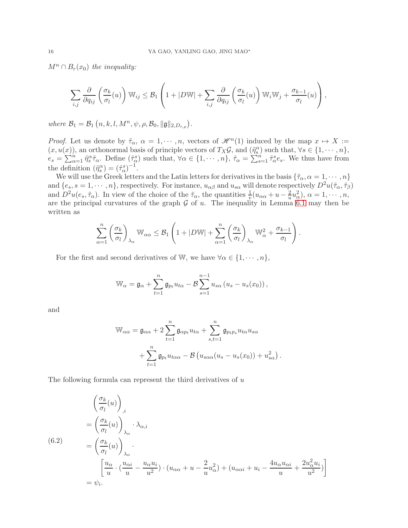$M^n \cap B_r(x_0)$  the inequality:

$$
\sum_{i,j} \frac{\partial}{\partial q_{ij}} \left( \frac{\sigma_k}{\sigma_l}(u) \right) \mathbb{W}_{ij} \leq \mathcal{B}_1 \left( 1 + |D\mathbb{W}| + \sum_{i,j} \frac{\partial}{\partial q_{ij}} \left( \frac{\sigma_k}{\sigma_l}(u) \right) \mathbb{W}_i \mathbb{W}_j + \frac{\sigma_{k-1}}{\sigma_l}(u) \right),
$$

where  $\mathcal{B}_1 = \mathcal{B}_1(n, k, l, M^n, \psi, \rho, \mathcal{B}_0, \|\mathfrak{g}\|_{2,D_{r,\rho}}).$ 

*Proof.* Let us denote by  $\tilde{\tau}_{\alpha}$ ,  $\alpha = 1, \dots, n$ , vectors of  $\mathcal{H}^{n}(1)$  induced by the map  $x \mapsto X :=$  $(x, u(x))$ , an orthonormal basis of principle vectors of  $T_X \mathcal{G}$ , and  $(\tilde{\eta}_s^{\alpha})$  such that,  $\forall s \in \{1, \dots, n\}$ ,  $e_s = \sum_{\alpha=1}^n \tilde{\eta}_s^{\alpha} \tilde{\tau}_{\alpha}$ . Define  $(\tilde{\tau}_{\alpha}^s)$  such that,  $\forall \alpha \in \{1, \cdots, n\}$ ,  $\tilde{\tau}_{\alpha} = \sum_{s=1}^n \tilde{\tau}_{\alpha}^s e_s$ . We thus have from the definition  $(\tilde{\eta}_s^{\alpha}) = (\tilde{\tau}_{\alpha}^s)^{-1}$ .

We will use the Greek letters and the Latin letters for derivatives in the basis  $\{\tilde{\tau}_\alpha, \alpha = 1, \cdots, n\}$ and  $\{e_s, s = 1, \cdots, n\}$ , respectively. For instance,  $u_{\alpha\beta}$  and  $u_{s\alpha}$  will denote respectively  $D^2u(\tilde{\tau}_\alpha, \tilde{\tau}_\beta)$ and  $D^2u(e_s, \tilde{\tau}_{\alpha})$ . In view of the choice of the  $\tilde{\tau}_{\alpha}$ , the quantities  $\frac{1}{v}(u_{\alpha\alpha}+u-\frac{2}{u}u_{\alpha}^2), \alpha=1,\cdots,n$ , are the principal curvatures of the graph  $G$  of  $u$ . The inequality in Lemma [6.1](#page-14-2) may then be written as

$$
\sum_{\alpha=1}^n \left(\frac{\sigma_k}{\sigma_l}\right)_{\lambda_\alpha} \mathbb{W}_{\alpha\alpha} \leq \mathcal{B}_1 \left(1 + |D\mathbb{W}| + \sum_{\alpha=1}^n \left(\frac{\sigma_k}{\sigma_l}\right)_{\lambda_\alpha} \mathbb{W}_\alpha^2 + \frac{\sigma_{k-1}}{\sigma_l}\right).
$$

For the first and second derivatives of W, we have  $\forall \alpha \in \{1, \dots, n\},$ 

$$
\mathbb{W}_{\alpha} = \mathfrak{g}_{\alpha} + \sum_{t=1}^{n} \mathfrak{g}_{p_t} u_{t\alpha} - \mathcal{B} \sum_{s=1}^{n-1} u_{s\alpha} (u_s - u_s(x_0)),
$$

and

$$
\mathbb{W}_{\alpha\alpha} = \mathfrak{g}_{\alpha\alpha} + 2 \sum_{t=1}^{n} \mathfrak{g}_{\alpha p_t} u_{t\alpha} + \sum_{s,t=1}^{n} \mathfrak{g}_{p_t p_s} u_{t\alpha} u_{s\alpha}
$$

$$
+ \sum_{t=1}^{n} \mathfrak{g}_{p_t} u_{t\alpha\alpha} - \mathcal{B} \left( u_{s\alpha\alpha} (u_s - u_s(x_0)) + u_{s\alpha}^2 \right).
$$

The following formula can represent the third derivatives of u

$$
\begin{aligned}\n&\left(\frac{\sigma_k}{\sigma_l}(u)\right)_{,i} \\
&= \left(\frac{\sigma_k}{\sigma_l}(u)\right)_{\lambda_\alpha} \cdot \lambda_{\alpha,i} \\
&= \left(\frac{\sigma_k}{\sigma_l}(u)\right)_{\lambda_\alpha} \cdot \left(\frac{u_{\alpha i}}{u} - \frac{u_{\alpha}u_i}{u^2}\right) \cdot \left(u_{\alpha\alpha} + u - \frac{2}{u}u_{\alpha}^2\right) + \left(u_{\alpha\alpha i} + u_i - \frac{4u_{\alpha}u_{\alpha i}}{u} + \frac{2u_{\alpha}^2u_i}{u^2}\right) \\
&= \psi_i.\n\end{aligned}
$$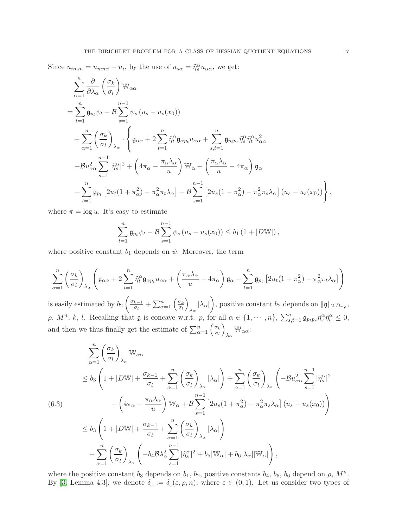Since  $u_{imm} = u_{mmi} - u_i$ , by the use of  $u_{s\alpha} = \tilde{\eta}_s^{\alpha} u_{\alpha\alpha}$ , we get:

$$
\sum_{\alpha=1}^{n} \frac{\partial}{\partial \lambda_{\alpha}} \left( \frac{\sigma_{k}}{\sigma_{l}} \right) \mathbb{W}_{\alpha\alpha} \n= \sum_{t=1}^{n} \mathfrak{g}_{p_{t}} \psi_{t} - \mathcal{B} \sum_{s=1}^{n-1} \psi_{s} \left( u_{s} - u_{s}(x_{0}) \right) \n+ \sum_{\alpha=1}^{n} \left( \frac{\sigma_{k}}{\sigma_{l}} \right)_{\lambda_{\alpha}} \cdot \left\{ \mathfrak{g}_{\alpha\alpha} + 2 \sum_{t=1}^{n} \tilde{\eta}_{t}^{\alpha} \mathfrak{g}_{\alpha p_{t}} u_{\alpha\alpha} + \sum_{s,t=1}^{n} \mathfrak{g}_{p_{t}p_{s}} \tilde{\eta}_{s}^{\alpha} \tilde{\eta}_{t}^{\alpha} u_{\alpha\alpha}^{2} \n- \mathcal{B} u_{\alpha\alpha}^{2} \sum_{s=1}^{n-1} |\tilde{\eta}_{s}^{\alpha}|^{2} + \left( 4\pi_{\alpha} - \frac{\pi_{\alpha} \lambda_{\alpha}}{u} \right) \mathbb{W}_{\alpha} + \left( \frac{\pi_{\alpha} \lambda_{\alpha}}{u} - 4\pi_{\alpha} \right) \mathfrak{g}_{\alpha} \n- \sum_{t=1}^{n} \mathfrak{g}_{p_{t}} \left[ 2u_{t} (1 + \pi_{\alpha}^{2}) - \pi_{\alpha}^{2} \pi_{t} \lambda_{\alpha} \right] + \mathcal{B} \sum_{s=1}^{n-1} \left[ 2u_{s} (1 + \pi_{\alpha}^{2}) - \pi_{\alpha}^{2} \pi_{s} \lambda_{\alpha} \right] \left( u_{s} - u_{s}(x_{0}) \right) \right\},
$$

where  $\pi = \log u$ . It's easy to estimate

$$
\sum_{t=1}^{n} \mathfrak{g}_{p_t} \psi_t - \mathcal{B} \sum_{s=1}^{n-1} \psi_s (u_s - u_s(x_0)) \le b_1 (1 + |D \mathbb{W}|),
$$

where positive constant  $b_1$  depends on  $\psi$ . Moreover, the term

$$
\sum_{\alpha=1}^{n} \left( \frac{\sigma_k}{\sigma_l} \right)_{\lambda_{\alpha}} \left( \mathfrak{g}_{\alpha\alpha} + 2 \sum_{t=1}^{n} \tilde{\eta}_t^{\alpha} \mathfrak{g}_{\alpha p_t} u_{\alpha \alpha} + \left( \frac{\pi_{\alpha} \lambda_{\alpha}}{u} - 4 \pi_{\alpha} \right) \mathfrak{g}_{\alpha} - \sum_{t=1}^{n} \mathfrak{g}_{p_t} \left[ 2u_t (1 + \pi_{\alpha}^2) - \pi_{\alpha}^2 \pi_t \lambda_{\alpha} \right] \right)
$$

is easily estimated by  $b_2$  $\int \sigma_{k-1}$  $\frac{k-1}{\sigma_l} + \sum_{\alpha=1}^n \left( \frac{\sigma_k}{\sigma_l} \right)$  $\overline{\sigma_l}$  $\overline{ }$  $\frac{1}{\lambda_{\alpha}}|\lambda_{\alpha}|$  $\overline{ }$ , positive constant  $b_2$  depends on  $\|\mathfrak{g}\|_{2,D_{r,\rho}},$  $\rho, M^n, k, l.$  Recalling that  $\mathfrak g$  is concave w.r.t. p, for all  $\alpha \in \{1, \cdots, n\}, \sum_{s,t=1}^n \mathfrak g_{p_tp_s} \tilde{\eta}_s^\alpha \tilde{\eta}_t^\alpha \leq 0$ , and then we thus finally get the estimate of  $\sum_{\alpha=1}^n \left(\frac{\sigma_k}{\sigma_l}\right)$ σl  $\overline{ }$  $\bigvee_{\lambda_{\alpha}}\mathbb{W}_{\alpha\alpha}$ :

<span id="page-16-0"></span>
$$
\sum_{\alpha=1}^{n} \left(\frac{\sigma_{k}}{\sigma_{l}}\right)_{\lambda_{\alpha}} \mathbb{W}_{\alpha\alpha} \n\leq b_{3} \left(1+|D\mathbb{W}|+\frac{\sigma_{k-1}}{\sigma_{l}}+\sum_{\alpha=1}^{n} \left(\frac{\sigma_{k}}{\sigma_{l}}\right)_{\lambda_{\alpha}}|\lambda_{\alpha}|\right)+\sum_{\alpha=1}^{n} \left(\frac{\sigma_{k}}{\sigma_{l}}\right)_{\lambda_{\alpha}}\left(-\mathcal{B}u_{\alpha\alpha}^{2}\sum_{s=1}^{n-1}|\tilde{\eta}_{s}^{\alpha}|^{2}\right) \n+ \left(4\pi_{\alpha}-\frac{\pi_{\alpha}\lambda_{\alpha}}{u}\right) \mathbb{W}_{\alpha}+\mathcal{B}\sum_{s=1}^{n-1}\left[2u_{s}(1+\pi_{\alpha}^{2})-\pi_{\alpha}^{2}\pi_{s}\lambda_{\alpha}\right](u_{s}-u_{s}(x_{0})) \right) \n\leq b_{3} \left(1+|D\mathbb{W}|+\frac{\sigma_{k-1}}{\sigma_{l}}+\sum_{\alpha=1}^{n} \left(\frac{\sigma_{k}}{\sigma_{l}}\right)_{\lambda_{\alpha}}|\lambda_{\alpha}|\right) \n+ \sum_{\alpha=1}^{n} \left(\frac{\sigma_{k}}{\sigma_{l}}\right)_{\lambda_{\alpha}}\left(-b_{4}\mathcal{B}\lambda_{\alpha}^{2}\sum_{s=1}^{n-1}|\tilde{\eta}_{s}^{\alpha}|^{2}+b_{5}|\mathbb{W}_{\alpha}|+b_{6}|\lambda_{\alpha}||\mathbb{W}_{\alpha}|\right),
$$

where the positive constant  $b_3$  depends on  $b_1$ ,  $b_2$ , positive constants  $b_4$ ,  $b_5$ ,  $b_6$  depend on  $\rho$ ,  $M^n$ . By [\[3,](#page-25-16) Lemma 4.3], we denote  $\delta_{\varepsilon} := \delta_{\varepsilon}(\varepsilon, \rho, n)$ , where  $\varepsilon \in (0, 1)$ . Let us consider two types of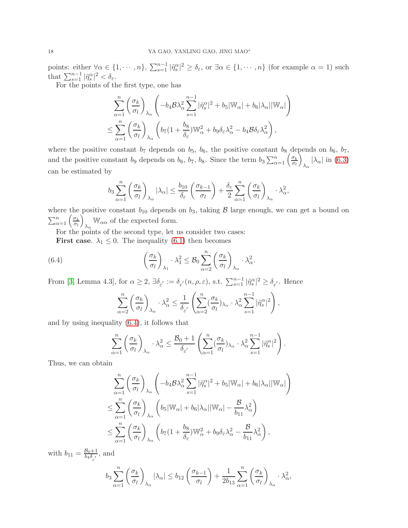points: either  $\forall \alpha \in \{1, \dots, n\}$ ,  $\sum_{s=1}^{n-1} |\tilde{\eta}_s^{\alpha}|^2 \ge \delta_{\varepsilon}$ , or  $\exists \alpha \in \{1, \dots, n\}$  (for example  $\alpha = 1$ ) such that  $\sum_{s=1}^{n-1} |\tilde{\eta}_s^{\alpha}|^2 < \delta_{\varepsilon}$ .

For the points of the first type, one has

$$
\sum_{\alpha=1}^{n} \left( \frac{\sigma_k}{\sigma_l} \right)_{\lambda_{\alpha}} \left( -b_4 \mathcal{B} \lambda_{\alpha}^2 \sum_{s=1}^{n-1} |\tilde{\eta}_s^{\alpha}|^2 + b_5 |\mathbb{W}_{\alpha}| + b_6 |\lambda_{\alpha}| |\mathbb{W}_{\alpha}| \right)
$$
  

$$
\leq \sum_{\alpha=1}^{n} \left( \frac{\sigma_k}{\sigma_l} \right)_{\lambda_{\alpha}} \left( b_7 (1 + \frac{b_8}{\delta_{\varepsilon}}) \mathbb{W}_{\alpha}^2 + b_9 \delta_{\varepsilon} \lambda_{\alpha}^2 - b_4 \mathcal{B} \delta_{\varepsilon} \lambda_{\alpha}^2 \right),
$$

where the positive constant  $b_7$  depends on  $b_5$ ,  $b_6$ , the positive constant  $b_8$  depends on  $b_6$ ,  $b_7$ , and the positive constant b<sub>9</sub> depends on  $b_6$ ,  $b_7$ ,  $b_8$ . Since the term  $b_3 \sum_{\alpha=1}^n \left( \frac{\sigma_k}{\sigma_l} \right)$  $\sigma_l$ Ĩ.  $\lambda_{\alpha}$  |  $\lambda_{\alpha}$ | in [\(6.3\)](#page-16-0) can be estimated by

$$
b_3 \sum_{\alpha=1}^n \left(\frac{\sigma_k}{\sigma_l}\right)_{\lambda_\alpha} |\lambda_\alpha| \le \frac{b_{10}}{\delta_\varepsilon} \left(\frac{\sigma_{k-1}}{\sigma_l}\right) + \frac{\delta_\varepsilon}{2} \sum_{\alpha=1}^n \left(\frac{\sigma_k}{\sigma_l}\right)_{\lambda_\alpha} \cdot \lambda_\alpha^2,
$$

where the positive constant  $b_{10}$  depends on  $b_3$ , taking  $\beta$  large enough, we can get a bound on  $\sum_{\alpha=1}^n \left( \frac{\sigma_k}{\sigma_l} \right)$  $\overline{\sigma_l}$ V  $\mathbb{W}_{\alpha\alpha}$  of the expected form.

.

For the points of the second type, let us consider two cases:

**First case.**  $\lambda_1 \leq 0$ . The inequality [\(6.1\)](#page-14-3) then becomes

(6.4) 
$$
\left(\frac{\sigma_k}{\sigma_l}\right)_{\lambda_1} \cdot \lambda_1^2 \leq \mathcal{B}_0 \sum_{\alpha=2}^n \left(\frac{\sigma_k}{\sigma_l}\right)_{\lambda_\alpha} \cdot \lambda_\alpha^2
$$

From [\[3,](#page-25-16) Lemma 4.3], for  $\alpha \geq 2$ ,  $\exists \delta_{\varepsilon'} := \delta_{\varepsilon'}(n, \rho, \varepsilon)$ , s.t.  $\sum_{s=1}^{n-1} |\tilde{\eta}_s^{\alpha}|^2 \geq \delta_{\varepsilon'}$ . Hence

<span id="page-17-0"></span>
$$
\sum_{\alpha=2}^n \left(\frac{\sigma_k}{\sigma_l}\right)_{\lambda_\alpha} \cdot \lambda_\alpha^2 \le \frac{1}{\delta_{\varepsilon'}} \left(\sum_{\alpha=2}^n \left(\frac{\sigma_k}{\sigma_l}\right)_{\lambda_\alpha} \cdot \lambda_\alpha^2 \sum_{s=1}^{n-1} |\tilde{\eta}_s^\alpha|^2\right),
$$

and by using inequality [\(6.4\)](#page-17-0), it follows that

$$
\sum_{\alpha=1}^n \left(\frac{\sigma_k}{\sigma_l}\right)_{\lambda_\alpha} \cdot \lambda_\alpha^2 \le \frac{\mathcal{B}_0 + 1}{\delta_{\varepsilon'}} \left(\sum_{\alpha=1}^n (\frac{\sigma_k}{\sigma_l})_{\lambda_\alpha} \cdot \lambda_\alpha^2 \sum_{s=1}^{n-1} |\tilde{\eta}_s^\alpha|^2\right).
$$

Thus, we can obtain

$$
\sum_{\alpha=1}^{n} \left( \frac{\sigma_k}{\sigma_l} \right)_{\lambda_{\alpha}} \left( -b_4 \mathcal{B} \lambda_{\alpha}^2 \sum_{s=1}^{n-1} |\tilde{\eta}_s^{\alpha}|^2 + b_5 |\mathbb{W}_{\alpha}| + b_6 |\lambda_{\alpha}| |\mathbb{W}_{\alpha}| \right)
$$
  

$$
\leq \sum_{\alpha=1}^{n} \left( \frac{\sigma_k}{\sigma_l} \right)_{\lambda_{\alpha}} \left( b_5 |\mathbb{W}_{\alpha}| + b_6 |\lambda_{\alpha}| |\mathbb{W}_{\alpha}| - \frac{\mathcal{B}}{b_{11}} \lambda_{\alpha}^2 \right)
$$
  

$$
\leq \sum_{\alpha=1}^{n} \left( \frac{\sigma_k}{\sigma_l} \right)_{\lambda_{\alpha}} \left( b_7 (1 + \frac{b_8}{\delta_{\varepsilon}}) \mathbb{W}_{\alpha}^2 + b_9 \delta_{\varepsilon} \lambda_{\alpha}^2 - \frac{\mathcal{B}}{b_{11}} \lambda_{\alpha}^2 \right),
$$

with  $b_{11} = \frac{B_0+1}{b_4\delta}$  $\frac{B_0+1}{b_4\delta_{\varepsilon'}}$ , and

$$
b_3 \sum_{\alpha=1}^n \left(\frac{\sigma_k}{\sigma_l}\right)_{\lambda_\alpha} |\lambda_\alpha| \le b_{12} \left(\frac{\sigma_{k-1}}{\sigma_l}\right) + \frac{1}{2b_{13}} \sum_{\alpha=1}^n \left(\frac{\sigma_k}{\sigma_l}\right)_{\lambda_\alpha} \cdot \lambda_\alpha^2,
$$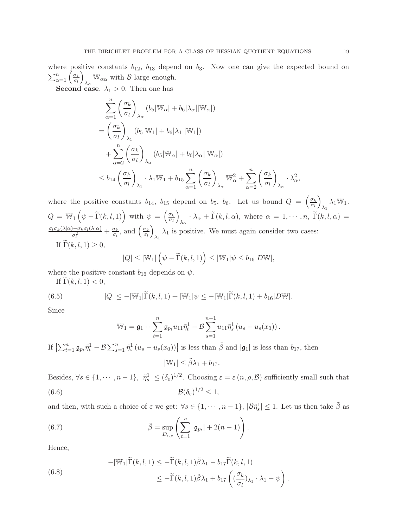where positive constants  $b_{12}$ ,  $b_{13}$  depend on  $b_3$ . Now one can give the expected bound on  $\sum_{\alpha=1}^n \left( \frac{\sigma_k}{\sigma_l} \right)$  $\sigma_l$  $\setminus$  $\mathbb{W}_{\alpha\alpha}$  with  $\beta$  large enough.

**Second case.**  $\lambda_1 > 0$ . Then one has

$$
\sum_{\alpha=1}^{n} \left(\frac{\sigma_k}{\sigma_l}\right)_{\lambda_{\alpha}} (b_5|\mathbb{W}_{\alpha}| + b_6|\lambda_{\alpha}||\mathbb{W}_{\alpha}|)
$$
\n
$$
= \left(\frac{\sigma_k}{\sigma_l}\right)_{\lambda_1} (b_5|\mathbb{W}_1| + b_6|\lambda_1||\mathbb{W}_1|)
$$
\n
$$
+ \sum_{\alpha=2}^{n} \left(\frac{\sigma_k}{\sigma_l}\right)_{\lambda_{\alpha}} (b_5|\mathbb{W}_{\alpha}| + b_6|\lambda_{\alpha}||\mathbb{W}_{\alpha}|)
$$
\n
$$
\leq b_{14} \left(\frac{\sigma_k}{\sigma_l}\right)_{\lambda_1} \cdot \lambda_1 \mathbb{W}_1 + b_{15} \sum_{\alpha=1}^{n} \left(\frac{\sigma_k}{\sigma_l}\right)_{\lambda_{\alpha}} \mathbb{W}_{\alpha}^2 + \sum_{\alpha=2}^{n} \left(\frac{\sigma_k}{\sigma_l}\right)_{\lambda_{\alpha}} \cdot \lambda_{\alpha}^2,
$$

where the positive constants  $b_{14}$ ,  $b_{15}$  depend on  $b_5$ ,  $b_6$ . Let us bound  $Q = \begin{pmatrix} \frac{\sigma_k}{\sigma_l} \end{pmatrix}$  $\sigma_l$  $\setminus$  $\lambda_1 \lambda_1 \mathbb{W}_1.$  $Q = \mathbb{W}_1\left(\psi - \widetilde{\Gamma}(k,l,1)\right) \text{ with } \psi = \left(\frac{\sigma_k}{\sigma_l}\right)$  $\sigma_l$  $\overline{ }$  $\lambda_{\alpha} \cdot \lambda_{\alpha} + \Gamma(k, l, \alpha)$ , where  $\alpha = 1, \cdots, n$ ,  $\Gamma(k, l, \alpha) =$  $\sigma_l \sigma_k(\lambda|\alpha) - \sigma_k \sigma_l(\lambda|\alpha)$  $\frac{\partial - \sigma_k \sigma_l(\lambda|\alpha)}{\sigma_l^2} + \frac{\sigma_k}{\sigma_l}$  $\frac{\sigma_k}{\sigma_l}$ , and  $\left(\frac{\sigma_k}{\sigma_l}\right)$ σl  $\overline{ }$  $\lambda_1$  is positive. We must again consider two cases: If  $\Gamma(k, l, 1) \geq 0$ ,  $|Q| \leq |\mathbb{W}_1| \left(\psi - \widetilde{\Gamma}(k, l, 1)\right) \leq |\mathbb{W}_1|\psi \leq b_{16}|D\mathbb{W}|,$ 

where the positive constant 
$$
b_{16}
$$
 depends on  $\psi$ .

If  $\Gamma(k, l, 1) < 0$ ,

(6.5) 
$$
|Q| \le -|\mathbb{W}_1| \widetilde{\Gamma}(k,l,1) + |\mathbb{W}_1| \psi \le -|\mathbb{W}_1| \widetilde{\Gamma}(k,l,1) + b_{16}|D\mathbb{W}|.
$$

Since

<span id="page-18-0"></span>
$$
\mathbb{W}_1 = \mathfrak{g}_1 + \sum_{t=1}^n \mathfrak{g}_{p_t} u_{11} \tilde{\eta}_t^1 - \mathcal{B} \sum_{s=1}^{n-1} u_{11} \tilde{\eta}_s^1 (u_s - u_s(x_0)).
$$

If  $\left|\sum_{t=1}^n \mathfrak{g}_{p_t} \tilde{\eta}_t^1 - \mathcal{B} \sum_{s=1}^n \tilde{\eta}_s^1 (u_s - u_s(x_0))\right|$  is less than  $\tilde{\beta}$  and  $|\mathfrak{g}_1|$  is less than  $b_{17}$ , then

<span id="page-18-2"></span>
$$
|\mathbb{W}_1| \leq \tilde{\beta}\lambda_1 + b_{17}.
$$

Besides,  $\forall s \in \{1, \dots, n-1\}, |\tilde{\eta}_s^1| \leq (\delta_{\varepsilon})^{1/2}$ . Choosing  $\varepsilon = \varepsilon(n, \rho, \mathcal{B})$  sufficiently small such that (6.6)  $\mathcal{B}(\delta_{\varepsilon})$  $\mathcal{B}(\delta_{\varepsilon})^{1/2} < 1$ ,

and then, with such a choice of  $\varepsilon$  we get:  $\forall s \in \{1, \dots, n-1\}$ ,  $|\mathcal{B}\tilde{\eta}_s^1| \leq 1$ . Let us then take  $\tilde{\beta}$  as

(6.7) 
$$
\tilde{\beta} = \sup_{D_{r,\rho}} \left( \sum_{t=1}^n |\mathfrak{g}_{p_t}| + 2(n-1) \right).
$$

Hence,

<span id="page-18-1"></span>(6.8) 
$$
-|\mathbb{W}_{1}|\widetilde{\Gamma}(k,l,1) \leq -\widetilde{\Gamma}(k,l,1)\widetilde{\beta}\lambda_{1} - b_{17}\widetilde{\Gamma}(k,l,1) \leq -\widetilde{\Gamma}(k,l,1)\widetilde{\beta}\lambda_{1} + b_{17}\left(\left(\frac{\sigma_{k}}{\sigma_{l}}\right)_{\lambda_{1}}\cdot\lambda_{1} - \psi\right).
$$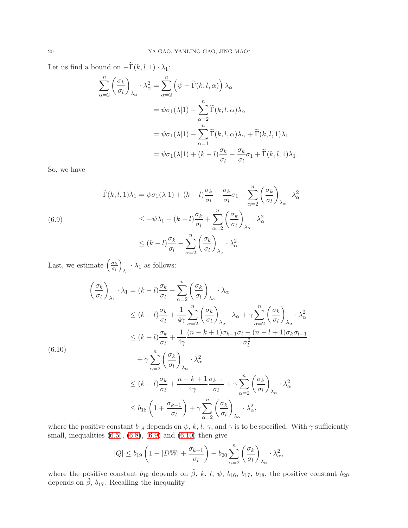Let us find a bound on  $-\widetilde{\Gamma}(k, l, 1) \cdot \lambda_1$ :

$$
\sum_{\alpha=2}^{n} \left(\frac{\sigma_k}{\sigma_l}\right)_{\lambda_{\alpha}} \cdot \lambda_{\alpha}^2 = \sum_{\alpha=2}^{n} \left(\psi - \tilde{\Gamma}(k, l, \alpha)\right) \lambda_{\alpha}
$$
  
=  $\psi \sigma_1(\lambda|1) - \sum_{\alpha=2}^{n} \tilde{\Gamma}(k, l, \alpha) \lambda_{\alpha}$   
=  $\psi \sigma_1(\lambda|1) - \sum_{\alpha=1}^{n} \tilde{\Gamma}(k, l, \alpha) \lambda_{\alpha} + \tilde{\Gamma}(k, l, 1) \lambda_{1}$   
=  $\psi \sigma_1(\lambda|1) + (k - l) \frac{\sigma_k}{\sigma_l} - \frac{\sigma_k}{\sigma_l} \sigma_1 + \tilde{\Gamma}(k, l, 1) \lambda_{1}.$ 

So, we have

<span id="page-19-0"></span>
$$
-\widetilde{\Gamma}(k,l,1)\lambda_1 = \psi \sigma_1(\lambda|1) + (k-l)\frac{\sigma_k}{\sigma_l} - \frac{\sigma_k}{\sigma_l}\sigma_1 - \sum_{\alpha=2}^n \left(\frac{\sigma_k}{\sigma_l}\right)_{\lambda_\alpha} \cdot \lambda_\alpha^2
$$
  
\n
$$
\leq -\psi \lambda_1 + (k-l)\frac{\sigma_k}{\sigma_l} + \sum_{\alpha=2}^n \left(\frac{\sigma_k}{\sigma_l}\right)_{\lambda_\alpha} \cdot \lambda_\alpha^2
$$
  
\n
$$
\leq (k-l)\frac{\sigma_k}{\sigma_l} + \sum_{\alpha=2}^n \left(\frac{\sigma_k}{\sigma_l}\right)_{\lambda_\alpha} \cdot \lambda_\alpha^2.
$$

Last, we estimate  $\left(\frac{\sigma_k}{\sigma_k}\right)$  $\sigma_l$  $\overline{ }$  $\lambda_1 \cdot \lambda_1$  as follows:

<span id="page-19-1"></span>
$$
\left(\frac{\sigma_k}{\sigma_l}\right)_{\lambda_1} \cdot \lambda_1 = (k-l)\frac{\sigma_k}{\sigma_l} - \sum_{\alpha=2}^n \left(\frac{\sigma_k}{\sigma_l}\right)_{\lambda_\alpha} \cdot \lambda_\alpha
$$
\n
$$
\leq (k-l)\frac{\sigma_k}{\sigma_l} + \frac{1}{4\gamma} \sum_{\alpha=2}^n \left(\frac{\sigma_k}{\sigma_l}\right)_{\lambda_\alpha} \cdot \lambda_\alpha + \gamma \sum_{\alpha=2}^n \left(\frac{\sigma_k}{\sigma_l}\right)_{\lambda_\alpha} \cdot \lambda_\alpha^2
$$
\n
$$
\leq (k-l)\frac{\sigma_k}{\sigma_l} + \frac{1}{4\gamma} \frac{(n-k+1)\sigma_{k-1}\sigma_l - (n-l+1)\sigma_k\sigma_{l-1}}{\sigma_l^2}
$$
\n(6.10)\n
$$
+ \gamma \sum_{\alpha=2}^n \left(\frac{\sigma_k}{\sigma_l}\right)_{\lambda_\alpha} \cdot \lambda_\alpha^2
$$
\n
$$
\leq (k-l)\frac{\sigma_k}{\sigma_l} + \frac{n-k+1}{4\gamma} \frac{\sigma_{k-1}}{\sigma_l} + \gamma \sum_{\alpha=2}^n \left(\frac{\sigma_k}{\sigma_l}\right)_{\lambda_\alpha} \cdot \lambda_\alpha^2
$$
\n
$$
\leq b_{18} \left(1 + \frac{\sigma_{k-1}}{\sigma_l}\right) + \gamma \sum_{\alpha=2}^n \left(\frac{\sigma_k}{\sigma_l}\right)_{\lambda_\alpha} \cdot \lambda_\alpha^2,
$$

where the positive constant  $b_{18}$  depends on  $\psi$ , k, l,  $\gamma$ , and  $\gamma$  is to be specified. With  $\gamma$  sufficiently small, inequalities  $(6.5)$ ,  $(6.8)$ ,  $(6.9)$  and  $(6.10)$  then give

$$
|Q| \le b_{19} \left( 1 + |D \mathbb{W}| + \frac{\sigma_{k-1}}{\sigma_l} \right) + b_{20} \sum_{\alpha=2}^n \left( \frac{\sigma_k}{\sigma_l} \right)_{\lambda_\alpha} \cdot \lambda_\alpha^2,
$$

where the positive constant  $b_{19}$  depends on  $\tilde{\beta}$ , k, l,  $\psi$ ,  $b_{16}$ ,  $b_{17}$ ,  $b_{18}$ , the positive constant  $b_{20}$ depends on  $\tilde{\beta}$ ,  $b_{17}$ . Recalling the inequality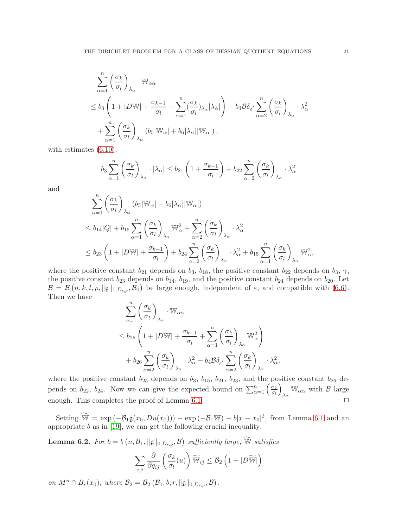$$
\sum_{\alpha=1}^{n} \left(\frac{\sigma_k}{\sigma_l}\right)_{\lambda_{\alpha}} \cdot \mathbb{W}_{\alpha\alpha} \n\leq b_3 \left(1 + |D\mathbb{W}| + \frac{\sigma_{k-1}}{\sigma_l} + \sum_{\alpha=1}^{n} \left(\frac{\sigma_k}{\sigma_l}\right)_{\lambda_{\alpha}} |\lambda_{\alpha}|\right) - b_4 \mathcal{B} \delta_{\varepsilon'} \sum_{\alpha=2}^{n} \left(\frac{\sigma_k}{\sigma_l}\right)_{\lambda_{\alpha}} \cdot \lambda_{\alpha}^2 \n+ \sum_{\alpha=1}^{n} \left(\frac{\sigma_k}{\sigma_l}\right)_{\lambda_{\alpha}} (b_5 |\mathbb{W}_{\alpha}| + b_6 |\lambda_{\alpha}| |\mathbb{W}_{\alpha}|),
$$

with estimates [\(6.10\)](#page-19-1),

$$
b_3 \sum_{\alpha=1}^n \left(\frac{\sigma_k}{\sigma_l}\right)_{\lambda_\alpha} \cdot |\lambda_\alpha| \le b_{21} \left(1 + \frac{\sigma_{k-1}}{\sigma_l}\right) + b_{22} \sum_{\alpha=2}^n \left(\frac{\sigma_k}{\sigma_l}\right)_{\lambda_\alpha} \cdot \lambda_\alpha^2
$$

and

$$
\sum_{\alpha=1}^{n} \left(\frac{\sigma_k}{\sigma_l}\right)_{\lambda_{\alpha}} (b_5|\mathbb{W}_{\alpha}| + b_6|\lambda_{\alpha}||\mathbb{W}_{\alpha}|)
$$
\n
$$
\leq b_{14}|Q| + b_{15} \sum_{\alpha=1}^{n} \left(\frac{\sigma_k}{\sigma_l}\right)_{\lambda_{\alpha}} \mathbb{W}_{\alpha}^2 + \sum_{\alpha=2}^{n} \left(\frac{\sigma_k}{\sigma_l}\right)_{\lambda_{\alpha}} \cdot \lambda_{\alpha}^2
$$
\n
$$
\leq b_{23} \left(1 + |D\mathbb{W}| + \frac{\sigma_{k-1}}{\sigma_l}\right) + b_{24} \sum_{\alpha=2}^{n} \left(\frac{\sigma_k}{\sigma_l}\right)_{\lambda_{\alpha}} \cdot \lambda_{\alpha}^2 + b_{15} \sum_{\alpha=1}^{n} \left(\frac{\sigma_k}{\sigma_l}\right)_{\lambda_{\alpha}} \mathbb{W}_{\alpha}^2,
$$

where the positive constant  $b_{21}$  depends on  $b_3$ ,  $b_{18}$ , the positive constant  $b_{22}$  depends on  $b_3$ ,  $\gamma$ , the positive constant  $b_{23}$  depends on  $b_{14}$ ,  $b_{19}$ , and the positive constant  $b_{24}$  depends on  $b_{20}$ . Let  $\mathcal{B} = \mathcal{B}(n, k, l, \rho, \|\mathfrak{g}\|_{1, D_{r,\rho}}, \mathcal{B}_0)$  be large enough, independent of  $\varepsilon$ , and compatible with [\(6.6\)](#page-18-2). Then we have

$$
\sum_{\alpha=1}^{n} \left(\frac{\sigma_k}{\sigma_l}\right)_{\lambda_{\alpha}} \cdot \mathbb{W}_{\alpha\alpha}
$$
\n
$$
\leq b_{25} \left(1 + |D\mathbb{W}| + \frac{\sigma_{k-1}}{\sigma_l} + \sum_{\alpha=1}^{n} \left(\frac{\sigma_k}{\sigma_l}\right)_{\lambda_{\alpha}} \mathbb{W}_{\alpha}^2\right)
$$
\n
$$
+ b_{26} \sum_{\alpha=2}^{n} \left(\frac{\sigma_k}{\sigma_l}\right)_{\lambda_{\alpha}} \cdot \lambda_{\alpha}^2 - b_4 \mathcal{B} \delta_{\varepsilon} \cdot \sum_{\alpha=2}^{n} \left(\frac{\sigma_k}{\sigma_l}\right)_{\lambda_{\alpha}} \cdot \lambda_{\alpha}^2,
$$

where the positive constant  $b_{25}$  depends on  $b_3$ ,  $b_{15}$ ,  $b_{21}$ ,  $b_{23}$ , and the positive constant  $b_{26}$  depends on  $b_{22}$ ,  $b_{24}$ . Now we can give the expected bound on  $\sum_{\alpha=1}^{n} \left( \frac{\sigma_k}{\sigma_l} \right)$ σl  $\overline{ }$  $\mathbb{W}_{\alpha\alpha}$  with  $\beta$  large enough. This completes the proof of Lemma [6.1.](#page-14-2)  $\Box$ 

Setting  $\widetilde{\mathbb{W}} = \exp(-\mathcal{B}_1\mathfrak{g}(x_0,Du(x_0))) - \exp(-\mathcal{B}_1\mathbb{W}) - b|x-x_0|^2$ , from Lemma [6.1](#page-14-2) and an appropriate  $b$  as in [\[19\]](#page-25-20), we can get the following crucial inequality.

<span id="page-20-0"></span>**Lemma 6.2.** For  $b = b\left(n, \mathcal{B}_1, \|\mathfrak{g}\|_{0, D_{r,\rho}}, \mathcal{B}\right)$  sufficiently large,  $\widetilde{\mathbb{W}}$  satisfies

$$
\sum_{i,j} \frac{\partial}{\partial q_{ij}} \left( \frac{\sigma_k}{\sigma_l}(u) \right) \widetilde{\mathbb{W}}_{ij} \leq \mathcal{B}_2 \left( 1 + |D \widetilde{\mathbb{W}}| \right)
$$

on  $M^n \cap B_r(x_0)$ , where  $\mathcal{B}_2 = \mathcal{B}_2(\mathcal{B}_1, b, r, \|\mathfrak{g}\|_{0, D_{r,\rho}}, \mathcal{B})$ .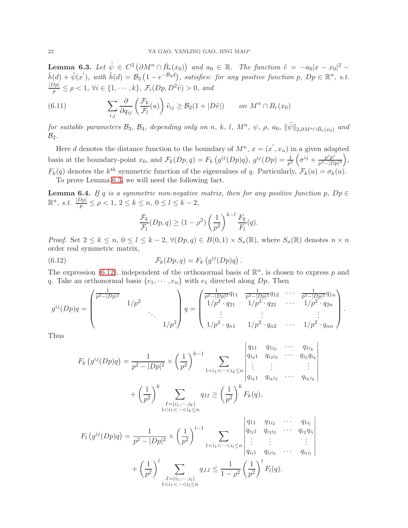<span id="page-21-0"></span>**Lemma 6.3.** Let  $\tilde{\psi} \in C^2 \left( \partial M^n \cap \bar{B}_r(x_0) \right)$  and  $a_0 \in \mathbb{R}$ . The function  $\tilde{v} = -a_0 |x - x_0|^2$  –  $\tilde{h}(d) + \tilde{\psi}(x'),$  with  $\tilde{h}(d) = \mathcal{B}_3(1 - e^{-\mathcal{B}_4 d}),$  satisfies: for any positive function p,  $Dp \in \mathbb{R}^n$ , s.t.  $\frac{|Dp|}{p} \leq \rho < 1, \forall i \in \{1, \cdots, k\}, \, \mathcal{F}_i(Dp, D^2\tilde{v}) > 0, \text{ and}$ 

(6.11) 
$$
\sum_{i,j} \frac{\partial}{\partial q_{ij}} \left( \frac{\mathcal{F}_k}{\mathcal{F}_l}(u) \right) \tilde{v}_{ij} \geq \mathcal{B}_2(1+|D\tilde{v}|) \qquad on \ M^n \cap B_r(x_0)
$$

for suitable parameters  $\mathcal{B}_3$ ,  $\mathcal{B}_4$ , depending only on n, k, l,  $M^n$ ,  $\psi$ ,  $\rho$ ,  $a_0$ ,  $\|\tilde{\psi}\|_{2,\partial M^n\cap \bar{B}_r(x_0)}$  and  $\mathcal{B}_2$ .

Here d denotes the distance function to the boundary of  $M^n$ ,  $x = (x', x_n)$  in a given adapted basis at the boundary-point  $x_0$ , and  $\mathcal{F}_k(Dp,q) = F_k(g^{ij}(Dp)q)$ ,  $g^{ij}(Dp) = \frac{1}{p^2} \left( \sigma^{ij} + \frac{p^i p^j}{p^2 - |D|} \right)$  $\frac{p^i p^j}{p^2 - |Dp|^2}$ ),  $F_k(q)$  denotes the  $k^{th}$  symmetric function of the eigenvalues of q. Particularly,  $\mathcal{F}_k(u) = \sigma_k(u)$ . To prove Lemma [6.3,](#page-21-0) we will need the following fact.

<span id="page-21-2"></span>**Lemma 6.4.** If q is a symmetric non-negative matrix, then for any positive function p,  $Dp \in$  $\mathbb{R}^n$ , s.t.  $\frac{|Dp|}{p} \le \rho < 1$ ,  $2 \le k \le n$ ,  $0 \le l \le k - 2$ ,

<span id="page-21-1"></span>
$$
\frac{\mathcal{F}_k}{\mathcal{F}_l}(Dp, q) \ge (1 - \rho^2) \left(\frac{1}{p^2}\right)^{k-l} \frac{F_k}{F_l}(q).
$$

*Proof.* Set  $2 \leq k \leq n, 0 \leq l \leq k-2, \forall (Dp,q) \in B(0,1) \times S_n(\mathbb{R})$ , where  $S_n(\mathbb{R})$  denotes  $n \times n$ order real symmetric matrix,

(6.12) 
$$
\mathcal{F}_k(Dp,q) = F_k(g^{ij}(Dp)q).
$$

The expression [\(6.12\)](#page-21-1), independent of the orthonormal basis of  $\mathbb{R}^n$ , is chosen to express p and q. Take an orthonormal basis  $\{e_1, \dots, e_n\}$  with  $e_1$  directed along  $Dp$ . Then

$$
g^{ij}(Dp)q = \begin{pmatrix} \frac{1}{p^2 - |Dp|^2} & & & \\ & 1/p^2 & & \\ & & \ddots & \\ & & & 1/p^2 \end{pmatrix} q = \begin{pmatrix} \frac{1}{p^2 - |Dp|^2} q_{11} & \frac{1}{p^2 - |Dp|^2} q_{12} & \cdots & \frac{1}{p^2 - |Dp|^2} q_{1n} \\ 1/p^2 \cdot q_{21} & 1/p^2 \cdot q_{22} & \cdots & 1/p^2 \cdot q_{2n} \\ \vdots & & \vdots & & \vdots \\ 1/p^2 \cdot q_{n1} & 1/p^2 \cdot q_{n2} & \cdots & 1/p^2 \cdot q_{nn} \end{pmatrix}.
$$

 $\begin{array}{c} \hline \end{array}$ I  $\overline{\phantom{a}}$ I I  $\overline{\phantom{a}}$ I  $\overline{\phantom{a}}$  $\overline{\phantom{a}}$ 

Thus

$$
F_k(g^{ij}(Dp)q) = \frac{1}{p^2 - |Dp|^2} \times \left(\frac{1}{p^2}\right)^{k-1} \sum_{\substack{1 < i_1 < \dots < i_k \le n \\ q_i \ge 1 \text{ if } i_1 \ge 1 \dots < i_k \le n}} \begin{vmatrix} q_{11} & q_{1i_2} & \dots & q_{1i_k} \\ q_{i_2 1} & q_{i_2 i_2} & \dots & q_{i_2} q_{i_k} \\ \vdots & \vdots & \ddots & \vdots \\ q_{i_k 1} & q_{i_k i_2} & \dots & q_{i_k i_k} \end{vmatrix}
$$

$$
+ \left(\frac{1}{p^2}\right)^k \sum_{\substack{I = (i_1, \dots, i_k) \\ 1 < i_1 < \dots < i_k \le n}} q_{II} \ge \left(\frac{1}{p^2}\right)^k F_k(q),
$$

$$
F_l(g^{ij}(Dp)q) = \frac{1}{p^2 - |Dp|^2} \times \left(\frac{1}{p^2}\right)^{l-1} \sum_{\substack{1 < i_1 < \dots < i_l \leq n \\ q_{i_2 1} & q_{i_2 i_2} & \dots & q_{i_2} q_{i_l} \\ \vdots & \vdots & \ddots & \vdots \\ q_{i_l 1} & q_{i_l i_2} & \dots & q_{i_l i_l} \end{pmatrix} + \left(\frac{1}{p^2}\right)^l \sum_{\substack{J = (i_1, \dots, i_l) \\ 1 < i_1 < \dots < i_l \leq n}} q_{JJ} \leq \frac{1}{1 - \rho^2} \left(\frac{1}{p^2}\right)^l F_l(q).
$$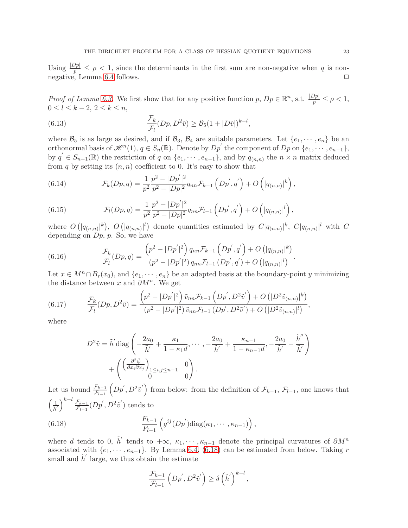Using  $\frac{|Dp|}{p} \leq \rho < 1$ , since the determinants in the first sum are non-negative when q is non-negative, Lemma [6.4](#page-21-2) follows.  $\Box$ 

*Proof of Lemma [6.3.](#page-21-0)* We first show that for any positive function  $p, Dp \in \mathbb{R}^n$ , s.t.  $\frac{|Dp|}{p} \leq \rho < 1$ ,  $0 \leq l \leq k-2, 2 \leq k \leq n$ ,

<span id="page-22-2"></span>(6.13) 
$$
\frac{\mathcal{F}_k}{\mathcal{F}_l}(Dp, D^2\tilde{v}) \geq \mathcal{B}_5(1+|D\tilde{v}|)^{k-l},
$$

where  $\mathcal{B}_5$  is as large as desired, and if  $\mathcal{B}_3$ ,  $\mathcal{B}_4$  are suitable parameters. Let  $\{e_1, \dots, e_n\}$  be an orthonormal basis of  $\mathscr{H}^n(1), q \in S_n(\mathbb{R})$ . Denote by  $Dp'$  the component of  $Dp$  on  $\{e_1, \dots, e_{n-1}\},$ by  $q' \in S_{n-1}(\mathbb{R})$  the restriction of q on  $\{e_1, \dots, e_{n-1}\}$ , and by  $q_{(n,n)}$  the  $n \times n$  matrix deduced from q by setting its  $(n, n)$  coefficient to 0. It's easy to show that

(6.14) 
$$
\mathcal{F}_k(Dp,q) = \frac{1}{p^2} \frac{p^2 - |Dp'|^2}{p^2 - |Dp|^2} q_{nn} \mathcal{F}_{k-1} \left(Dp',q'\right) + O\left(|q_{(n,n)}|^k\right),
$$

(6.15) 
$$
\mathcal{F}_l(Dp,q) = \frac{1}{p^2} \frac{p^2 - |Dp'|^2}{p^2 - |Dp|^2} q_{nn} \mathcal{F}_{l-1}\left(Dp',q'\right) + O\left(|q_{(n,n)}|^l\right),
$$

where  $O(|q_{(n,n)}|^k)$ ,  $O(|q_{(n,n)}|^l)$  denote quantities estimated by  $C|q_{(n,n)}|^k$ ,  $C|q_{(n,n)}|^l$  with  $C$ depending on  $D_p$ , p. So, we have

(6.16) 
$$
\frac{\mathcal{F}_k}{\mathcal{F}_l}(Dp,q) = \frac{\left(p^2 - |Dp'|^2\right)q_{nn}\mathcal{F}_{k-1}\left(Dp',q'\right) + O\left(|q_{(n,n)}|^k\right)}{\left(p^2 - |Dp'|^2\right)q_{nn}\mathcal{F}_{l-1}\left(Dp',q'\right) + O\left(|q_{(n,n)}|^l\right)}.
$$

Let  $x \in M^n \cap B_r(x_0)$ , and  $\{e_1, \dots, e_n\}$  be an adapted basis at the boundary-point y minimizing the distance between x and  $\partial M^n$ . We get

(6.17) 
$$
\frac{\mathcal{F}_k}{\mathcal{F}_l}(Dp, D^2\tilde{v}) = \frac{\left(p^2 - |Dp'|^2\right)\tilde{v}_{nn}\mathcal{F}_{k-1}\left(Dp', D^2\tilde{v}'\right) + O\left(|D^2\tilde{v}_{(n,n)}|^k\right)}{\left(p^2 - |Dp'|^2\right)\tilde{v}_{nn}\mathcal{F}_{l-1}\left(Dp', D^2\tilde{v}'\right) + O\left(|D^2\tilde{v}_{(n,n)}|^l\right)},
$$

where

<span id="page-22-1"></span>
$$
D^2 \tilde{v} = \tilde{h}' \operatorname{diag} \left( -\frac{2a_0}{\tilde{h}'} + \frac{\kappa_1}{1 - \kappa_1 d}, \cdots, -\frac{2a_0}{\tilde{h}'} + \frac{\kappa_{n-1}}{1 - \kappa_{n-1} d}, -\frac{2a_0}{\tilde{h}'} - \frac{\tilde{h}''}{\tilde{h}'} \right) + \left( \left( \frac{\partial^2 \tilde{\psi}}{\partial x_i \partial x_j} \right)_{\substack{1 \le i, j \le n-1 \\ 0}} 0 \right).
$$

Let us bound  $\frac{\mathcal{F}_{k-1}}{\mathcal{F}_{l-1}}$  $(Dp', D^2\tilde{v}')$  from below: from the definition of  $\mathcal{F}_{k-1}, \mathcal{F}_{l-1}$ , one knows that  $\left(\frac{1}{\tilde{h}'}\right)$  $\bigwedge^{k-l}$   $\mathcal{F}_{k-1}$  $\frac{\mathcal{F}_{k-1}}{\mathcal{F}_{l-1}}(Dp', D^2\tilde{v}')$  tends to  $(F_{k-1})$   $\frac{F_{k-1}}{F_k}$  $F_{l-1}$  $(g^{ij}(Dp^{'})diag(\kappa_1,\cdots,\kappa_{n-1}))$ ,

where d tends to 0,  $\tilde{h}'$  tends to  $+\infty$ ,  $\kappa_1, \cdots, \kappa_{n-1}$  denote the principal curvatures of  $\partial M^n$ associated with  $\{e_1, \dots, e_{n-1}\}$ . By Lemma [6.4,](#page-21-2) [\(6.18\)](#page-22-0) can be estimated from below. Taking r small and  $\tilde{h}'$  large, we thus obtain the estimate

<span id="page-22-0"></span>
$$
\frac{\mathcal{F}_{k-1}}{\mathcal{F}_{l-1}}\left(Dp', D^2\tilde{v}'\right) \ge \delta\left(\tilde{h}'\right)^{k-l},\,
$$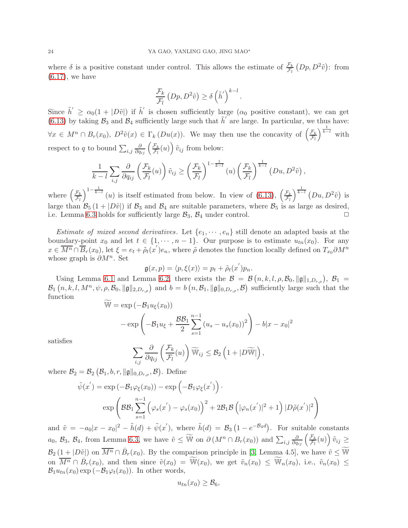where  $\delta$  is a positive constant under control. This allows the estimate of  $\frac{\mathcal{F}_k}{\mathcal{F}_l} (Dp, D^2 \tilde{v})$ : from  $(6.17)$ , we have

$$
\frac{\mathcal{F}_k}{\mathcal{F}_l} \left(Dp, D^2 \tilde{v}\right) \ge \delta \left(\tilde{h}'\right)^{k-l}
$$

.

Since  $\tilde{h}' \ge \alpha_0(1+|D\tilde{v}|)$  if  $\tilde{h}'$  is chosen sufficiently large  $(\alpha_0$  positive constant), we can get [\(6.13\)](#page-22-2) by taking  $\mathcal{B}_3$  and  $\mathcal{B}_4$  sufficiently large such that  $\tilde{h}'$  are large. In particular, we thus have:  $\forall x \in M^n \cap B_r(x_0), D^2\tilde{v}(x) \in \Gamma_k(Du(x)).$  We may then use the concavity of  $\left(\frac{\mathcal{F}_k}{\mathcal{F}_l}\right)$  $\mathcal{F}_l$  $\int^{\frac{1}{k-l}}$  with respect to q to bound  $\sum_{i,j} \frac{\partial}{\partial q_{ij}} \left( \frac{\mathcal{F}_k}{\mathcal{F}_l} \right)$  $\frac{\mathcal{F}_k}{\mathcal{F}_l}(u)\right)\tilde{v}_{ij}$  from below:

$$
\frac{1}{k-l} \sum_{i,j} \frac{\partial}{\partial q_{ij}} \left( \frac{\mathcal{F}_k}{\mathcal{F}_l}(u) \right) \tilde{v}_{ij} \ge \left( \frac{\mathcal{F}_k}{\mathcal{F}_l} \right)^{1-\frac{1}{k-l}} (u) \left( \frac{\mathcal{F}_k}{\mathcal{F}_l} \right)^{\frac{1}{k-l}} (Du, D^2 \tilde{v}),
$$

where  $\left(\frac{\mathcal{F}_k}{\mathcal{F}_l}\right)$  $\mathcal{F}_l$  $\int_{0}^{1-\frac{1}{k-l}}(u)$  is itself estimated from below. In view of [\(6.13\)](#page-22-2),  $\left(\frac{\mathcal{F}_{k,l}}{\mathcal{F}_{k,l}}\right)$  $\mathcal{F}_l$  $\int^{\frac{1}{k-l}} (Du, D^2 \tilde{v})$  is large than  $\mathcal{B}_5$  (1 +  $|D\tilde{v}|$ ) if  $\mathcal{B}_3$  and  $\mathcal{B}_4$  are suitable parameters, where  $\mathcal{B}_5$  is as large as desired, i.e. Lemma 6.3 holds for sufficiently large  $\mathcal{B}_3$ ,  $\mathcal{B}_4$  under control. i.e. Lemma [6.3](#page-21-0) holds for sufficiently large  $\mathcal{B}_3$ ,  $\mathcal{B}_4$  under control.

Estimate of mixed second derivatives. Let  $\{e_1, \dots, e_n\}$  still denote an adapted basis at the boundary-point  $x_0$  and let  $t \in \{1, \dots, n-1\}$ . Our purpose is to estimate  $u_{tn}(x_0)$ . For any  $x \in \overline{M^n} \cap \overline{B}_r(x_0)$ , let  $\xi = e_t + \tilde{\rho}_t(x')e_n$ , where  $\tilde{\rho}$  denotes the function locally defined on  $T_{x_0}\partial M^n$ whose graph is  $\partial M^n$ . Set ′

$$
\mathfrak{g}(x,p) = \langle p, \xi(x) \rangle = p_t + \tilde{\rho}_t(x')p_n.
$$

Using Lemma [6.1](#page-14-2) and Lemma [6.2,](#page-20-0) there exists the  $\mathcal{B} = \mathcal{B}(n, k, l, \rho, \mathcal{B}_0, ||\mathfrak{g}||_{1, D_{r,\rho}}), \mathcal{B}_1 =$  $\mathcal{B}_1(n, k, l, M^n, \psi, \rho, \mathcal{B}_0, \|\mathfrak{g}\|_{2,D_{r,\rho}})$  and  $b = b(n, \mathcal{B}_1, \|\mathfrak{g}\|_{0,D_{r,\rho}}, \mathcal{B})$  sufficiently large such that the function

$$
\widetilde{\mathbb{W}} = \exp\left(-\mathcal{B}_1 u_{\xi}(x_0)\right)
$$

$$
-\exp\left(-\mathcal{B}_1 u_{\xi} + \frac{\mathcal{B}\mathcal{B}_1}{2} \sum_{s=1}^{n-1} \left(u_s - u_s(x_0)\right)^2\right) - b|x - x_0|^2
$$

satisfies

 $\tilde{\psi}$ 

$$
\sum_{i,j} \frac{\partial}{\partial q_{ij}} \left( \frac{\mathcal{F}_k}{\mathcal{F}_l}(u) \right) \widetilde{\mathbb{W}}_{ij} \leq \mathcal{B}_2 \left( 1 + |D \widetilde{\mathbb{W}}| \right),
$$

where  $\mathcal{B}_2 = \mathcal{B}_2 (\mathcal{B}_1, b, r, \|\mathfrak{g}\|_{0, D_{r,\rho}}, \mathcal{B})$ . Define

$$
(x') = \exp(-\mathcal{B}_1 \varphi_{\xi}(x_0)) - \exp(-\mathcal{B}_1 \varphi_{\xi}(x'))
$$

$$
\exp\left(\mathcal{B}\mathcal{B}_1 \sum_{s=1}^{n-1} \left(\varphi_s(x') - \varphi_s(x_0)\right)^2 + 2\mathcal{B}_1 \mathcal{B}\left(|\varphi_n(x')|^2 + 1\right) |D\tilde{\rho}(x')|^2\right)
$$

and  $\tilde{v} = -a_0|x - x_0|^2 - \tilde{h}(d) + \tilde{\psi}(x')$ , where  $\tilde{h}(d) = \mathcal{B}_3(1 - e^{-\mathcal{B}_4 d})$ . For suitable constants  $a_0, B_3, B_4$ , from Lemma [6.3,](#page-21-0) we have  $\tilde{v} \leq \widetilde{W}$  on  $\partial(M^n \cap B_r(x_0))$  and  $\sum_{i,j} \frac{\partial}{\partial q_{ij}} \left( \frac{\mathcal{F}_k}{\mathcal{F}_l} \right)$  $\frac{\mathcal{F}_k}{\mathcal{F}_l}(u)\Big)\,\tilde{v}_{ij}\geq$  $\mathcal{B}_2\left(1+|D\tilde{v}|\right)$  on  $\overline{M^n} \cap \bar{B}_r(x_0)$ . By the comparison principle in [\[3,](#page-25-16) Lemma 4.5], we have  $\tilde{v} \leq \widetilde{W}$ on  $\overline{M^n} \cap \overline{B}_r(x_0)$ , and then since  $\tilde{v}(x_0) = \widetilde{\mathbb{W}}(x_0)$ , we get  $\tilde{v}_n(x_0) \leq \widetilde{\mathbb{W}}_n(x_0)$ , i.e.,  $\tilde{v}_n(x_0) \leq$  $\mathcal{B}_1 u_{tn}(x_0) \exp(-\mathcal{B}_1 \varphi_t(x_0))$ . In other words,

$$
u_{tn}(x_0) \geq \mathcal{B}_6,
$$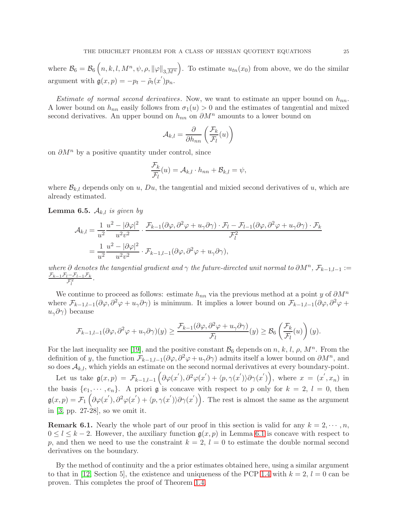where  $\mathcal{B}_6 = \mathcal{B}_6(n, k, l, M^n, \psi, \rho, ||\varphi||_{3, \overline{M^n}})$ . To estimate  $u_{tn}(x_0)$  from above, we do the similar argument with  $\mathfrak{g}(x,p) = -p_t - \tilde{\rho}_t(x')p_n$ .

*Estimate of normal second derivatives.* Now, we want to estimate an upper bound on  $h_{nn}$ . A lower bound on  $h_{nn}$  easily follows from  $\sigma_1(u) > 0$  and the estimates of tangential and mixed second derivatives. An upper bound on  $h_{nn}$  on  $\partial M^n$  amounts to a lower bound on

$$
\mathcal{A}_{k,l} = \frac{\partial}{\partial h_{nn}} \left( \frac{\mathcal{F}_k}{\mathcal{F}_l}(u) \right)
$$

on  $\partial M^n$  by a positive quantity under control, since

$$
\frac{\mathcal{F}_k}{\mathcal{F}_l}(u) = \mathcal{A}_{k,l} \cdot h_{nn} + \mathcal{B}_{k,l} = \psi,
$$

where  $\mathcal{B}_{k,l}$  depends only on u, Du, the tangential and mixied second derivatives of u, which are already estimated.

**Lemma 6.5.**  $A_{k,l}$  is given by

l

$$
\mathcal{A}_{k,l} = \frac{1}{u^2} \frac{u^2 - |\partial \varphi|^2}{u^2 v^2} \cdot \frac{\mathcal{F}_{k-1}(\partial \varphi, \partial^2 \varphi + u_\gamma \partial \gamma) \cdot \mathcal{F}_l - \mathcal{F}_{l-1}(\partial \varphi, \partial^2 \varphi + u_\gamma \partial \gamma) \cdot \mathcal{F}_k}{\mathcal{F}_l^2}
$$
  
= 
$$
\frac{1}{u^2} \frac{u^2 - |\partial \varphi|^2}{u^2 v^2} \cdot \mathcal{F}_{k-1,l-1}(\partial \varphi, \partial^2 \varphi + u_\gamma \partial \gamma),
$$

where  $\partial$  denotes the tangential gradient and  $\gamma$  the future-directed unit normal to  $\partial M^n$ ,  $\mathcal{F}_{k-1,l-1} :=$  $\mathcal{F}_{k-1}\mathcal{F}_{l}-\mathcal{F}_{l-1}\mathcal{F}_{k}$  $\frac{l^{-1}L_1L_2}{\mathcal{F}_l^2}$ .

We continue to proceed as follows: estimate  $h_{nn}$  via the previous method at a point y of  $\partial M^n$ where  $\mathcal{F}_{k-1,l-1}(\partial\varphi,\partial^2\varphi+u_{\gamma}\partial\gamma)$  is minimum. It implies a lower bound on  $\mathcal{F}_{k-1,l-1}(\partial\varphi,\partial^2\varphi+u_{\gamma}\partial\gamma)$  $u_{\gamma}\partial\gamma$ ) because

$$
\mathcal{F}_{k-1,l-1}(\partial\varphi,\partial^2\varphi+u_\gamma\partial\gamma)(y)\geq \frac{\mathcal{F}_{k-1}(\partial\varphi,\partial^2\varphi+u_\gamma\partial\gamma)}{\mathcal{F}_l}(y)\geq \mathcal{B}_6\left(\frac{\mathcal{F}_k}{\mathcal{F}_l}(u)\right)(y).
$$

For the last inequality see [\[19\]](#page-25-20), and the positive constant  $\mathcal{B}_6$  depends on n, k, l,  $\rho$ ,  $M^n$ . From the definition of y, the function  $\mathcal{F}_{k-1,l-1}(\partial\varphi,\partial^2\varphi+u_{\gamma}\partial\gamma)$  admits itself a lower bound on  $\partial M^n$ , and so does  $\mathcal{A}_{k,l}$ , which yields an estimate on the second normal derivatives at every boundary-point.

Let us take  $\mathfrak{g}(x,p) = \mathcal{F}_{k-1,l-1} \left( \partial \varphi(x'), \partial^2 \varphi(x') + \langle p, \gamma(x') \rangle \partial \gamma(x') \right)$ , where  $x = (x', x_n)$  in the basis  $\{e_1, \dots, e_n\}$ . A priori g is concave with respect to p only for  $k = 2, l = 0$ , then  $\mathfrak{g}(x,p) = \mathcal{F}_1\left(\partial \varphi(x'), \partial^2 \varphi(x') + \langle p, \gamma(x') \rangle \partial \gamma(x')\right)$ . The rest is almost the same as the argument in [\[3,](#page-25-16) pp. 27-28], so we omit it.

**Remark 6.1.** Nearly the whole part of our proof in this section is valid for any  $k = 2, \dots, n$ ,  $0 \leq l \leq k-2$ . However, the auxiliary function  $g(x, p)$  in Lemma [6.1](#page-14-2) is concave with respect to p, and then we need to use the constraint  $k = 2$ ,  $l = 0$  to estimate the double normal second derivatives on the boundary.

By the method of continuity and the a prior estimates obtained here, using a similar argument to that in [\[12,](#page-25-0) Section 5], the existence and uniqueness of the PCP [1.4](#page-1-0) with  $k = 2$ ,  $l = 0$  can be proven. This completes the proof of Theorem [1.4.](#page-3-0)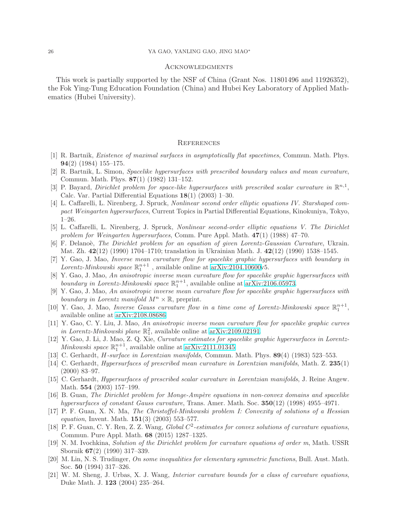### **ACKNOWLEDGMENTS**

This work is partially supported by the NSF of China (Grant Nos. 11801496 and 11926352), the Fok Ying-Tung Education Foundation (China) and Hubei Key Laboratory of Applied Mathematics (Hubei University).

### **REFERENCES**

- <span id="page-25-10"></span>[1] R. Bartnik, Existence of maximal surfaces in asymptotically flat spacetimes, Commun. Math. Phys. 94(2) (1984) 155–175.
- <span id="page-25-11"></span>[2] R. Bartnik, L. Simon, Spacelike hypersurfaces with prescribed boundary values and mean curvature, Commun. Math. Phys. 87(1) (1982) 131–152.
- <span id="page-25-16"></span>[3] P. Bayard, *Dirichlet problem for space-like hypersurfaces with prescribed scalar curvature in*  $\mathbb{R}^{n,1}$ , Calc. Var. Partial Differential Equations 18(1) (2003) 1–30.
- <span id="page-25-6"></span>[4] L. Caffarelli, L. Nirenberg, J. Spruck, Nonlinear second order elliptic equations IV. Starshaped compact Weingarten hypersurfaces, Current Topics in Partial Differential Equations, Kinokuniya, Tokyo, 1–26.
- <span id="page-25-7"></span>[5] L. Caffarelli, L. Nirenberg, J. Spruck, Nonlinear second-order elliptic equations V. The Dirichlet problem for Weingarten hypersurfaces, Comm. Pure Appl. Math. 47(1) (1988) 47–70.
- <span id="page-25-14"></span>[6] F. Delanoè, The Dirichlet problem for an equation of given Lorentz-Gaussian Curvature, Ukrain. Mat. Zh. 42(12) (1990) 1704–1710; translation in Ukrainian Math. J. 42(12) (1990) 1538–1545.
- <span id="page-25-1"></span>[7] Y. Gao, J. Mao, Inverse mean curvature flow for spacelike graphic hypersurfaces with boundary in Lorentz-Minkowski space  $\mathbb{R}^{n+1}_1$ , available online at [arXiv:2104.10600v](http://arxiv.org/abs/2104.10600)5.
- <span id="page-25-2"></span>[8] Y. Gao, J. Mao, An anisotropic inverse mean curvature flow for spacelike graphic hypersurfaces with boundary in Lorentz-Minkowski space  $\mathbb{R}^{n+1}_1$ , available online at [arXiv:2106.05973.](http://arxiv.org/abs/2106.05973)
- <span id="page-25-3"></span>[9] Y. Gao, J. Mao, An anisotropic inverse mean curvature flow for spacelike graphic hypersurfaces with boundary in Lorentz manifold  $M^n \times \mathbb{R}$ , preprint.
- <span id="page-25-5"></span><span id="page-25-4"></span>[10] Y. Gao, J. Mao, *Inverse Gauss curvature flow in a time cone of Lorentz-Minkowski space*  $\mathbb{R}^{n+1}_1$ , available online at [arXiv:2108.08686.](http://arxiv.org/abs/2108.08686)
- [11] Y. Gao, C. Y. Liu, J. Mao, An anisotropic inverse mean curvature flow for spacelike graphic curves in Lorentz-Minkowski plane  $\mathbb{R}^2_1$ , available online at [arXiv:2109.02191.](http://arxiv.org/abs/2109.02191)
- <span id="page-25-0"></span>[12] Y. Gao, J. Li, J. Mao, Z. Q. Xie, Curvature estimates for spacelike graphic hypersurfaces in Lorentz-Minkowski space  $\mathbb{R}^{n+1}_1$ , available online at [arXiv:2111.01345.](http://arxiv.org/abs/2111.01345)
- <span id="page-25-13"></span><span id="page-25-12"></span>[13] C. Gerhardt, *H*-surface in Lorentzian manifolds, Commun. Math. Phys. **89**(4) (1983) 523-553.
- [14] C. Gerhardt, *Hypersurfaces of prescribed mean curvature in Lorentzian manifolds*, Math. Z. 235(1) (2000) 83–97.
- <span id="page-25-17"></span>[15] C. Gerhardt, Hypersurfaces of prescribed scalar curvature in Lorentzian manifolds, J. Reine Angew. Math. 554 (2003) 157–199.
- <span id="page-25-15"></span>[16] B. Guan, The Dirichlet problem for Monge-Ampère equations in non-convex domains and spacelike hypersurfaces of constant Gauss curvature, Trans. Amer. Math. Soc. 350(12) (1998) 4955–4971.
- <span id="page-25-8"></span>[17] P. F. Guan, X. N. Ma, The Christoffel-Minkowski problem I: Convexity of solutions of a Hessian *equation*, Invent. Math.  $151(3)$  (2003) 553-577.
- <span id="page-25-18"></span>[18] P. F. Guan, C. Y. Ren, Z. Z. Wang, Global  $C^2$ -estimates for convex solutions of curvature equations, Commun. Pure Appl. Math. 68 (2015) 1287–1325.
- <span id="page-25-20"></span>[19] N. M. Ivochkina, Solution of the Dirichlet problem for curvature equations of order m, Math. USSR Sbornik 67(2) (1990) 317–339.
- <span id="page-25-19"></span>[20] M. Lin, N. S. Trudinger, On some inequalities for elementary symmetric functions, Bull. Aust. Math. Soc. 50 (1994) 317–326.
- <span id="page-25-9"></span>[21] W. M. Sheng, J. Urbas, X. J. Wang, Interior curvature bounds for a class of curvature equations, Duke Math. J. 123 (2004) 235–264.